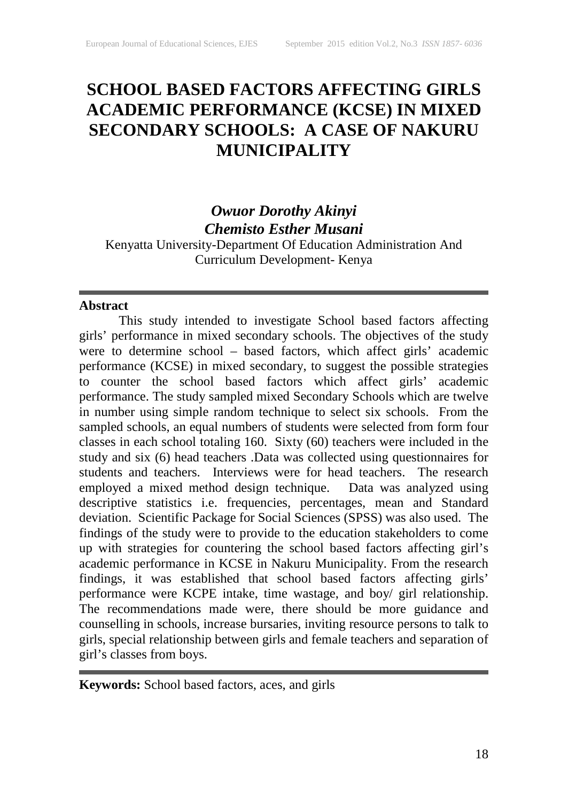# **SCHOOL BASED FACTORS AFFECTING GIRLS ACADEMIC PERFORMANCE (KCSE) IN MIXED SECONDARY SCHOOLS: A CASE OF NAKURU MUNICIPALITY**

# *Owuor Dorothy Akinyi Chemisto Esther Musani*

Kenyatta University-Department Of Education Administration And Curriculum Development- Kenya

### **Abstract**

This study intended to investigate School based factors affecting girls' performance in mixed secondary schools. The objectives of the study were to determine school – based factors, which affect girls' academic performance (KCSE) in mixed secondary, to suggest the possible strategies to counter the school based factors which affect girls' academic performance. The study sampled mixed Secondary Schools which are twelve in number using simple random technique to select six schools. From the sampled schools, an equal numbers of students were selected from form four classes in each school totaling 160. Sixty (60) teachers were included in the study and six (6) head teachers .Data was collected using questionnaires for students and teachers. Interviews were for head teachers. The research employed a mixed method design technique. Data was analyzed using descriptive statistics i.e. frequencies, percentages, mean and Standard deviation. Scientific Package for Social Sciences (SPSS) was also used. The findings of the study were to provide to the education stakeholders to come up with strategies for countering the school based factors affecting girl's academic performance in KCSE in Nakuru Municipality. From the research findings, it was established that school based factors affecting girls' performance were KCPE intake, time wastage, and boy/ girl relationship. The recommendations made were, there should be more guidance and counselling in schools, increase bursaries, inviting resource persons to talk to girls, special relationship between girls and female teachers and separation of girl's classes from boys.

**Keywords:** School based factors, aces, and girls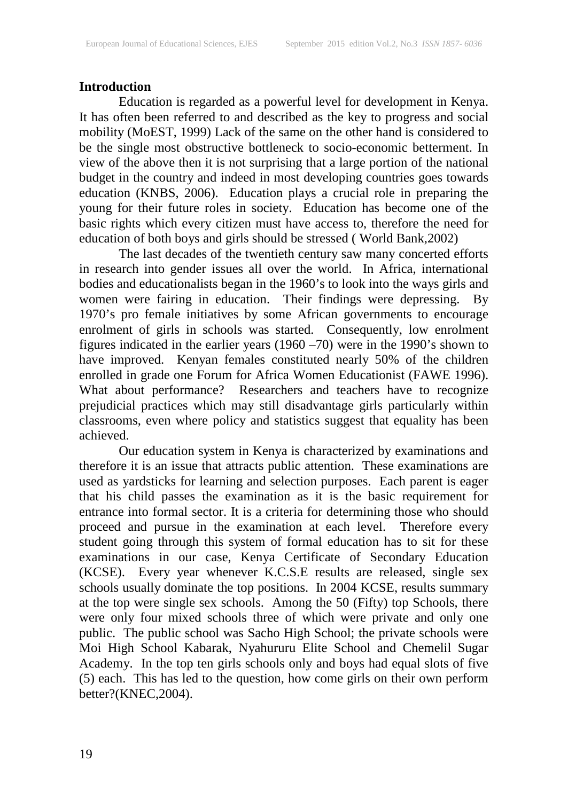# **Introduction**

Education is regarded as a powerful level for development in Kenya. It has often been referred to and described as the key to progress and social mobility (MoEST, 1999) Lack of the same on the other hand is considered to be the single most obstructive bottleneck to socio-economic betterment. In view of the above then it is not surprising that a large portion of the national budget in the country and indeed in most developing countries goes towards education (KNBS, 2006). Education plays a crucial role in preparing the young for their future roles in society. Education has become one of the basic rights which every citizen must have access to, therefore the need for education of both boys and girls should be stressed ( World Bank,2002)

The last decades of the twentieth century saw many concerted efforts in research into gender issues all over the world. In Africa, international bodies and educationalists began in the 1960's to look into the ways girls and women were fairing in education. Their findings were depressing. By 1970's pro female initiatives by some African governments to encourage enrolment of girls in schools was started. Consequently, low enrolment figures indicated in the earlier years (1960 –70) were in the 1990's shown to have improved. Kenyan females constituted nearly 50% of the children enrolled in grade one Forum for Africa Women Educationist (FAWE 1996). What about performance? Researchers and teachers have to recognize prejudicial practices which may still disadvantage girls particularly within classrooms, even where policy and statistics suggest that equality has been achieved.

Our education system in Kenya is characterized by examinations and therefore it is an issue that attracts public attention. These examinations are used as yardsticks for learning and selection purposes. Each parent is eager that his child passes the examination as it is the basic requirement for entrance into formal sector. It is a criteria for determining those who should proceed and pursue in the examination at each level. Therefore every student going through this system of formal education has to sit for these examinations in our case, Kenya Certificate of Secondary Education (KCSE). Every year whenever K.C.S.E results are released, single sex schools usually dominate the top positions. In 2004 KCSE, results summary at the top were single sex schools. Among the 50 (Fifty) top Schools, there were only four mixed schools three of which were private and only one public. The public school was Sacho High School; the private schools were Moi High School Kabarak, Nyahururu Elite School and Chemelil Sugar Academy. In the top ten girls schools only and boys had equal slots of five (5) each. This has led to the question, how come girls on their own perform better?(KNEC,2004).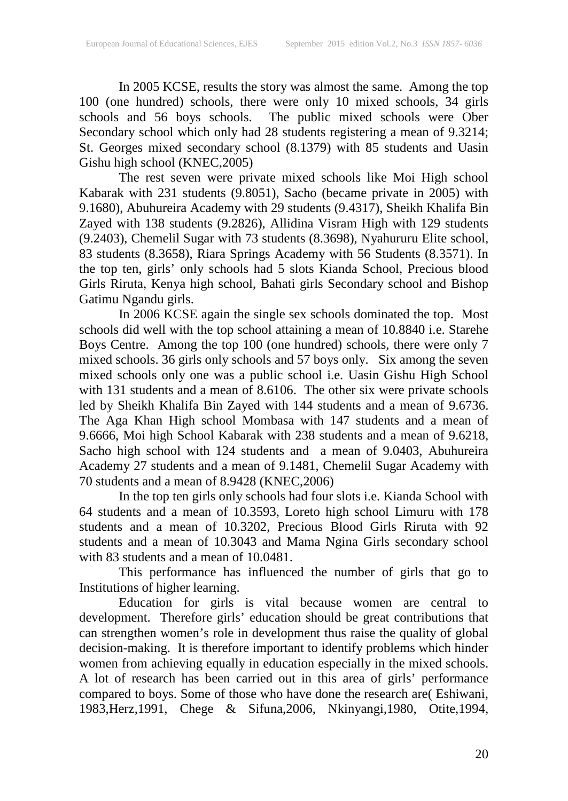In 2005 KCSE, results the story was almost the same. Among the top 100 (one hundred) schools, there were only 10 mixed schools, 34 girls schools and 56 boys schools. The public mixed schools were Ober Secondary school which only had 28 students registering a mean of 9.3214; St. Georges mixed secondary school (8.1379) with 85 students and Uasin Gishu high school (KNEC,2005)

The rest seven were private mixed schools like Moi High school Kabarak with 231 students (9.8051), Sacho (became private in 2005) with 9.1680), Abuhureira Academy with 29 students (9.4317), Sheikh Khalifa Bin Zayed with 138 students (9.2826), Allidina Visram High with 129 students (9.2403), Chemelil Sugar with 73 students (8.3698), Nyahururu Elite school, 83 students (8.3658), Riara Springs Academy with 56 Students (8.3571). In the top ten, girls' only schools had 5 slots Kianda School, Precious blood Girls Riruta, Kenya high school, Bahati girls Secondary school and Bishop Gatimu Ngandu girls.

In 2006 KCSE again the single sex schools dominated the top. Most schools did well with the top school attaining a mean of 10.8840 i.e. Starehe Boys Centre. Among the top 100 (one hundred) schools, there were only 7 mixed schools. 36 girls only schools and 57 boys only. Six among the seven mixed schools only one was a public school i.e. Uasin Gishu High School with 131 students and a mean of 8.6106. The other six were private schools led by Sheikh Khalifa Bin Zayed with 144 students and a mean of 9.6736. The Aga Khan High school Mombasa with 147 students and a mean of 9.6666, Moi high School Kabarak with 238 students and a mean of 9.6218, Sacho high school with 124 students and a mean of 9.0403, Abuhureira Academy 27 students and a mean of 9.1481, Chemelil Sugar Academy with 70 students and a mean of 8.9428 (KNEC,2006)

In the top ten girls only schools had four slots i.e. Kianda School with 64 students and a mean of 10.3593, Loreto high school Limuru with 178 students and a mean of 10.3202, Precious Blood Girls Riruta with 92 students and a mean of 10.3043 and Mama Ngina Girls secondary school with 83 students and a mean of 10.0481.

This performance has influenced the number of girls that go to Institutions of higher learning.

Education for girls is vital because women are central to development. Therefore girls' education should be great contributions that can strengthen women's role in development thus raise the quality of global decision-making. It is therefore important to identify problems which hinder women from achieving equally in education especially in the mixed schools. A lot of research has been carried out in this area of girls' performance compared to boys. Some of those who have done the research are( Eshiwani, 1983,Herz,1991, Chege & Sifuna,2006, Nkinyangi,1980, Otite,1994,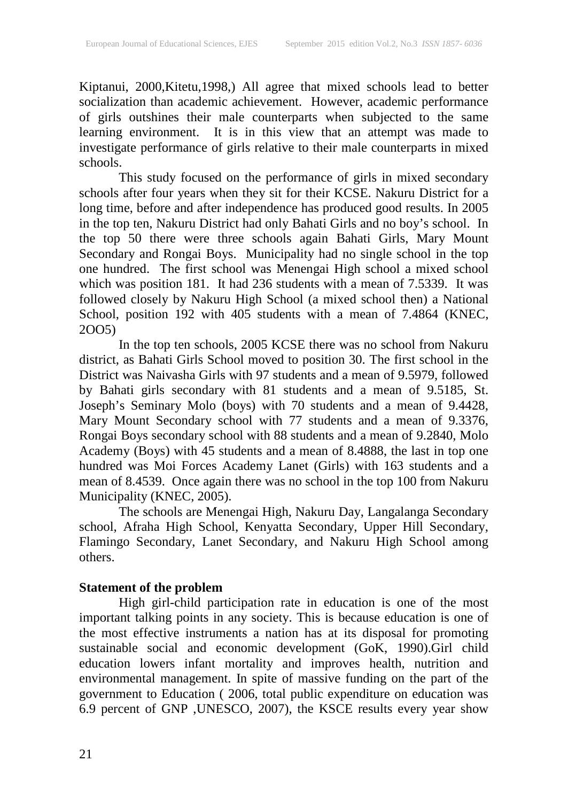Kiptanui, 2000,Kitetu,1998,) All agree that mixed schools lead to better socialization than academic achievement. However, academic performance of girls outshines their male counterparts when subjected to the same learning environment. It is in this view that an attempt was made to investigate performance of girls relative to their male counterparts in mixed schools.

This study focused on the performance of girls in mixed secondary schools after four years when they sit for their KCSE. Nakuru District for a long time, before and after independence has produced good results. In 2005 in the top ten, Nakuru District had only Bahati Girls and no boy's school. In the top 50 there were three schools again Bahati Girls, Mary Mount Secondary and Rongai Boys. Municipality had no single school in the top one hundred. The first school was Menengai High school a mixed school which was position 181. It had 236 students with a mean of 7.5339. It was followed closely by Nakuru High School (a mixed school then) a National School, position 192 with 405 students with a mean of 7.4864 (KNEC, 2OO5)

In the top ten schools, 2005 KCSE there was no school from Nakuru district, as Bahati Girls School moved to position 30. The first school in the District was Naivasha Girls with 97 students and a mean of 9.5979, followed by Bahati girls secondary with 81 students and a mean of 9.5185, St. Joseph's Seminary Molo (boys) with 70 students and a mean of 9.4428, Mary Mount Secondary school with 77 students and a mean of 9.3376, Rongai Boys secondary school with 88 students and a mean of 9.2840, Molo Academy (Boys) with 45 students and a mean of 8.4888, the last in top one hundred was Moi Forces Academy Lanet (Girls) with 163 students and a mean of 8.4539. Once again there was no school in the top 100 from Nakuru Municipality (KNEC, 2005).

The schools are Menengai High, Nakuru Day, Langalanga Secondary school, Afraha High School, Kenyatta Secondary, Upper Hill Secondary, Flamingo Secondary, Lanet Secondary, and Nakuru High School among others.

# **Statement of the problem**

High girl-child participation rate in education is one of the most important talking points in any society. This is because education is one of the most effective instruments a nation has at its disposal for promoting sustainable social and economic development (GoK, 1990).Girl child education lowers infant mortality and improves health, nutrition and environmental management. In spite of massive funding on the part of the government to Education ( 2006, total public expenditure on education was 6.9 percent of GNP ,UNESCO, 2007), the KSCE results every year show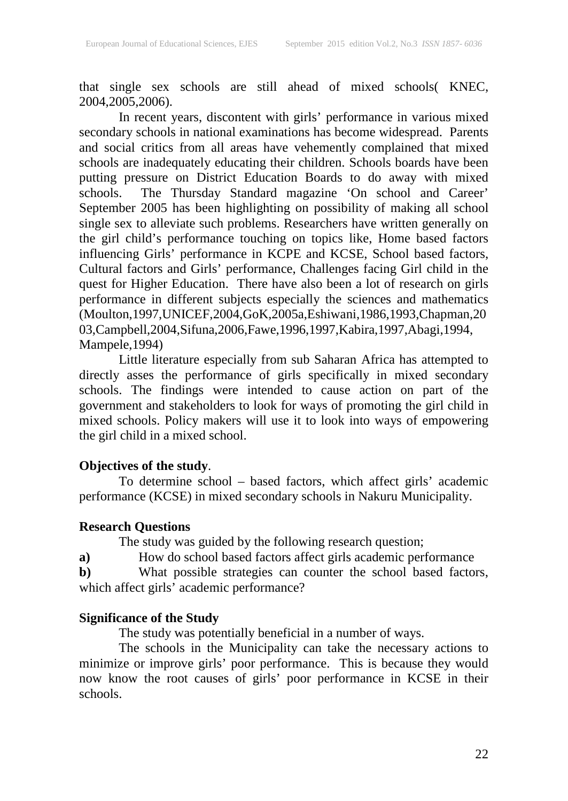that single sex schools are still ahead of mixed schools( KNEC, 2004,2005,2006).

In recent years, discontent with girls' performance in various mixed secondary schools in national examinations has become widespread. Parents and social critics from all areas have vehemently complained that mixed schools are inadequately educating their children. Schools boards have been putting pressure on District Education Boards to do away with mixed schools. The Thursday Standard magazine 'On school and Career' September 2005 has been highlighting on possibility of making all school single sex to alleviate such problems. Researchers have written generally on the girl child's performance touching on topics like, Home based factors influencing Girls' performance in KCPE and KCSE, School based factors, Cultural factors and Girls' performance, Challenges facing Girl child in the quest for Higher Education. There have also been a lot of research on girls performance in different subjects especially the sciences and mathematics (Moulton,1997,UNICEF,2004,GoK,2005a,Eshiwani,1986,1993,Chapman,20 03,Campbell,2004,Sifuna,2006,Fawe,1996,1997,Kabira,1997,Abagi,1994, Mampele,1994)

Little literature especially from sub Saharan Africa has attempted to directly asses the performance of girls specifically in mixed secondary schools. The findings were intended to cause action on part of the government and stakeholders to look for ways of promoting the girl child in mixed schools. Policy makers will use it to look into ways of empowering the girl child in a mixed school.

### **Objectives of the study**.

To determine school – based factors, which affect girls' academic performance (KCSE) in mixed secondary schools in Nakuru Municipality.

#### **Research Questions**

The study was guided by the following research question;

**a)** How do school based factors affect girls academic performance

**b)** What possible strategies can counter the school based factors, which affect girls' academic performance?

# **Significance of the Study**

The study was potentially beneficial in a number of ways.

The schools in the Municipality can take the necessary actions to minimize or improve girls' poor performance. This is because they would now know the root causes of girls' poor performance in KCSE in their schools.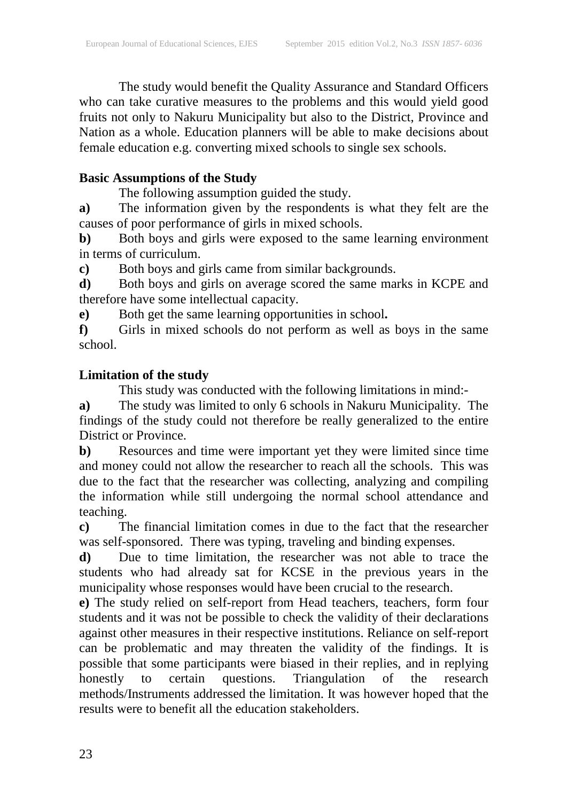The study would benefit the Quality Assurance and Standard Officers who can take curative measures to the problems and this would yield good fruits not only to Nakuru Municipality but also to the District, Province and Nation as a whole. Education planners will be able to make decisions about female education e.g. converting mixed schools to single sex schools.

# **Basic Assumptions of the Study**

The following assumption guided the study.

**a)** The information given by the respondents is what they felt are the causes of poor performance of girls in mixed schools.

**b**) Both boys and girls were exposed to the same learning environment in terms of curriculum.

**c)** Both boys and girls came from similar backgrounds.

**d)** Both boys and girls on average scored the same marks in KCPE and therefore have some intellectual capacity.

**e)** Both get the same learning opportunities in school**.**

**f)** Girls in mixed schools do not perform as well as boys in the same school.

# **Limitation of the study**

This study was conducted with the following limitations in mind:-

**a)** The study was limited to only 6 schools in Nakuru Municipality. The findings of the study could not therefore be really generalized to the entire District or Province.

**b)** Resources and time were important yet they were limited since time and money could not allow the researcher to reach all the schools. This was due to the fact that the researcher was collecting, analyzing and compiling the information while still undergoing the normal school attendance and teaching.

**c)** The financial limitation comes in due to the fact that the researcher was self-sponsored. There was typing, traveling and binding expenses.

**d)** Due to time limitation, the researcher was not able to trace the students who had already sat for KCSE in the previous years in the municipality whose responses would have been crucial to the research.

**e)** The study relied on self-report from Head teachers, teachers, form four students and it was not be possible to check the validity of their declarations against other measures in their respective institutions. Reliance on self-report can be problematic and may threaten the validity of the findings. It is possible that some participants were biased in their replies, and in replying honestly to certain questions. Triangulation of the research honestly to certain questions. Triangulation of the research methods/Instruments addressed the limitation. It was however hoped that the results were to benefit all the education stakeholders.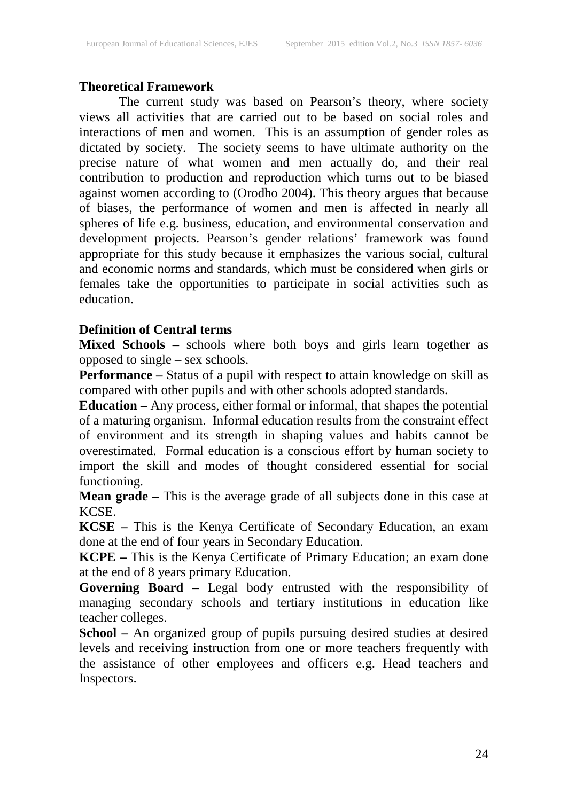# **Theoretical Framework**

The current study was based on Pearson's theory, where society views all activities that are carried out to be based on social roles and interactions of men and women. This is an assumption of gender roles as dictated by society. The society seems to have ultimate authority on the precise nature of what women and men actually do, and their real contribution to production and reproduction which turns out to be biased against women according to (Orodho 2004). This theory argues that because of biases, the performance of women and men is affected in nearly all spheres of life e.g. business, education, and environmental conservation and development projects. Pearson's gender relations' framework was found appropriate for this study because it emphasizes the various social, cultural and economic norms and standards, which must be considered when girls or females take the opportunities to participate in social activities such as education.

# **Definition of Central terms**

**Mixed Schools –** schools where both boys and girls learn together as opposed to single – sex schools.

**Performance** – Status of a pupil with respect to attain knowledge on skill as compared with other pupils and with other schools adopted standards.

**Education –** Any process, either formal or informal, that shapes the potential of a maturing organism. Informal education results from the constraint effect of environment and its strength in shaping values and habits cannot be overestimated. Formal education is a conscious effort by human society to import the skill and modes of thought considered essential for social functioning.

**Mean grade –** This is the average grade of all subjects done in this case at KCSE.

**KCSE –** This is the Kenya Certificate of Secondary Education, an exam done at the end of four years in Secondary Education.

**KCPE –** This is the Kenya Certificate of Primary Education; an exam done at the end of 8 years primary Education.

**Governing Board –** Legal body entrusted with the responsibility of managing secondary schools and tertiary institutions in education like teacher colleges.

**School –** An organized group of pupils pursuing desired studies at desired levels and receiving instruction from one or more teachers frequently with the assistance of other employees and officers e.g. Head teachers and Inspectors.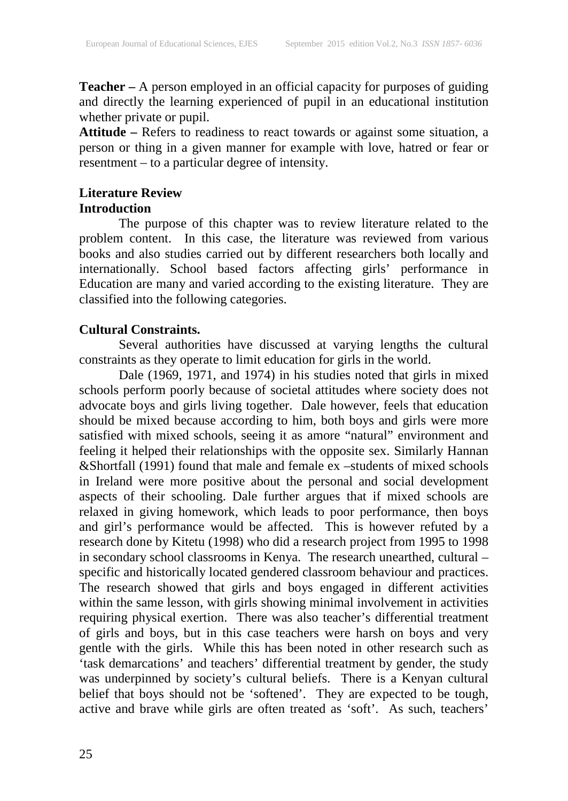**Teacher –** A person employed in an official capacity for purposes of guiding and directly the learning experienced of pupil in an educational institution whether private or pupil.

**Attitude –** Refers to readiness to react towards or against some situation, a person or thing in a given manner for example with love, hatred or fear or resentment – to a particular degree of intensity.

### **Literature Review Introduction**

The purpose of this chapter was to review literature related to the problem content. In this case, the literature was reviewed from various books and also studies carried out by different researchers both locally and internationally. School based factors affecting girls' performance in Education are many and varied according to the existing literature. They are classified into the following categories.

# **Cultural Constraints.**

Several authorities have discussed at varying lengths the cultural constraints as they operate to limit education for girls in the world.

Dale (1969, 1971, and 1974) in his studies noted that girls in mixed schools perform poorly because of societal attitudes where society does not advocate boys and girls living together. Dale however, feels that education should be mixed because according to him, both boys and girls were more satisfied with mixed schools, seeing it as amore "natural" environment and feeling it helped their relationships with the opposite sex. Similarly Hannan &Shortfall (1991) found that male and female ex –students of mixed schools in Ireland were more positive about the personal and social development aspects of their schooling. Dale further argues that if mixed schools are relaxed in giving homework, which leads to poor performance, then boys and girl's performance would be affected. This is however refuted by a research done by Kitetu (1998) who did a research project from 1995 to 1998 in secondary school classrooms in Kenya. The research unearthed, cultural – specific and historically located gendered classroom behaviour and practices. The research showed that girls and boys engaged in different activities within the same lesson, with girls showing minimal involvement in activities requiring physical exertion. There was also teacher's differential treatment of girls and boys, but in this case teachers were harsh on boys and very gentle with the girls. While this has been noted in other research such as 'task demarcations' and teachers' differential treatment by gender, the study was underpinned by society's cultural beliefs. There is a Kenyan cultural belief that boys should not be 'softened'. They are expected to be tough, active and brave while girls are often treated as 'soft'. As such, teachers'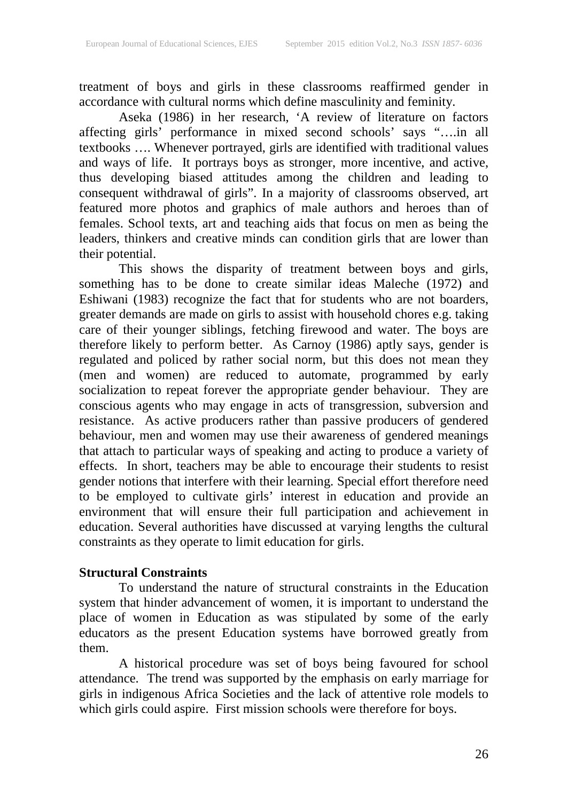treatment of boys and girls in these classrooms reaffirmed gender in accordance with cultural norms which define masculinity and feminity.

Aseka (1986) in her research, 'A review of literature on factors affecting girls' performance in mixed second schools' says "….in all textbooks …. Whenever portrayed, girls are identified with traditional values and ways of life. It portrays boys as stronger, more incentive, and active, thus developing biased attitudes among the children and leading to consequent withdrawal of girls". In a majority of classrooms observed, art featured more photos and graphics of male authors and heroes than of females. School texts, art and teaching aids that focus on men as being the leaders, thinkers and creative minds can condition girls that are lower than their potential.

This shows the disparity of treatment between boys and girls, something has to be done to create similar ideas Maleche (1972) and Eshiwani (1983) recognize the fact that for students who are not boarders, greater demands are made on girls to assist with household chores e.g. taking care of their younger siblings, fetching firewood and water. The boys are therefore likely to perform better. As Carnoy (1986) aptly says, gender is regulated and policed by rather social norm, but this does not mean they (men and women) are reduced to automate, programmed by early socialization to repeat forever the appropriate gender behaviour. They are conscious agents who may engage in acts of transgression, subversion and resistance. As active producers rather than passive producers of gendered behaviour, men and women may use their awareness of gendered meanings that attach to particular ways of speaking and acting to produce a variety of effects. In short, teachers may be able to encourage their students to resist gender notions that interfere with their learning. Special effort therefore need to be employed to cultivate girls' interest in education and provide an environment that will ensure their full participation and achievement in education. Several authorities have discussed at varying lengths the cultural constraints as they operate to limit education for girls.

# **Structural Constraints**

To understand the nature of structural constraints in the Education system that hinder advancement of women, it is important to understand the place of women in Education as was stipulated by some of the early educators as the present Education systems have borrowed greatly from them.

A historical procedure was set of boys being favoured for school attendance. The trend was supported by the emphasis on early marriage for girls in indigenous Africa Societies and the lack of attentive role models to which girls could aspire. First mission schools were therefore for boys.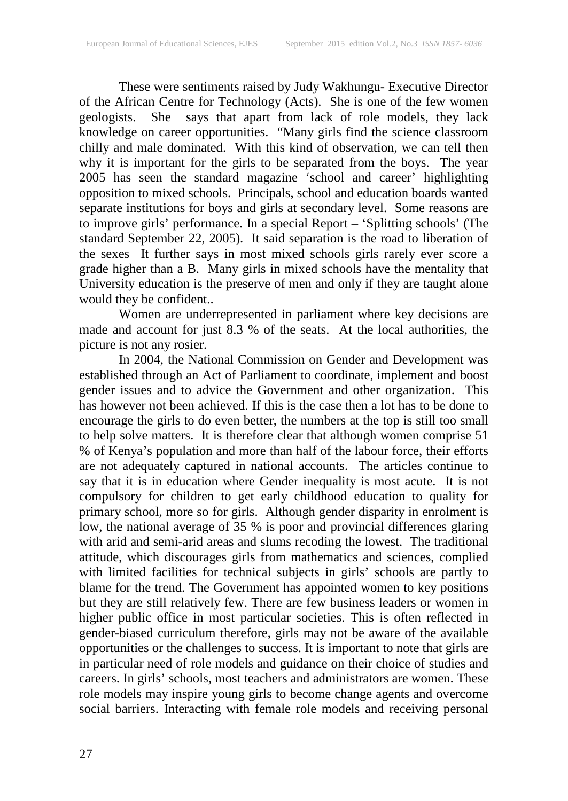These were sentiments raised by Judy Wakhungu- Executive Director of the African Centre for Technology (Acts). She is one of the few women geologists. She says that apart from lack of role models, they lack knowledge on career opportunities. "Many girls find the science classroom chilly and male dominated. With this kind of observation, we can tell then why it is important for the girls to be separated from the boys. The year 2005 has seen the standard magazine 'school and career' highlighting opposition to mixed schools. Principals, school and education boards wanted separate institutions for boys and girls at secondary level. Some reasons are to improve girls' performance. In a special Report – 'Splitting schools' (The standard September 22, 2005). It said separation is the road to liberation of the sexes It further says in most mixed schools girls rarely ever score a grade higher than a B. Many girls in mixed schools have the mentality that University education is the preserve of men and only if they are taught alone would they be confident..

Women are underrepresented in parliament where key decisions are made and account for just 8.3 % of the seats. At the local authorities, the picture is not any rosier.

In 2004, the National Commission on Gender and Development was established through an Act of Parliament to coordinate, implement and boost gender issues and to advice the Government and other organization. This has however not been achieved. If this is the case then a lot has to be done to encourage the girls to do even better, the numbers at the top is still too small to help solve matters. It is therefore clear that although women comprise 51 % of Kenya's population and more than half of the labour force, their efforts are not adequately captured in national accounts. The articles continue to say that it is in education where Gender inequality is most acute. It is not compulsory for children to get early childhood education to quality for primary school, more so for girls. Although gender disparity in enrolment is low, the national average of 35 % is poor and provincial differences glaring with arid and semi-arid areas and slums recoding the lowest. The traditional attitude, which discourages girls from mathematics and sciences, complied with limited facilities for technical subjects in girls' schools are partly to blame for the trend. The Government has appointed women to key positions but they are still relatively few. There are few business leaders or women in higher public office in most particular societies. This is often reflected in gender-biased curriculum therefore, girls may not be aware of the available opportunities or the challenges to success. It is important to note that girls are in particular need of role models and guidance on their choice of studies and careers. In girls' schools, most teachers and administrators are women. These role models may inspire young girls to become change agents and overcome social barriers. Interacting with female role models and receiving personal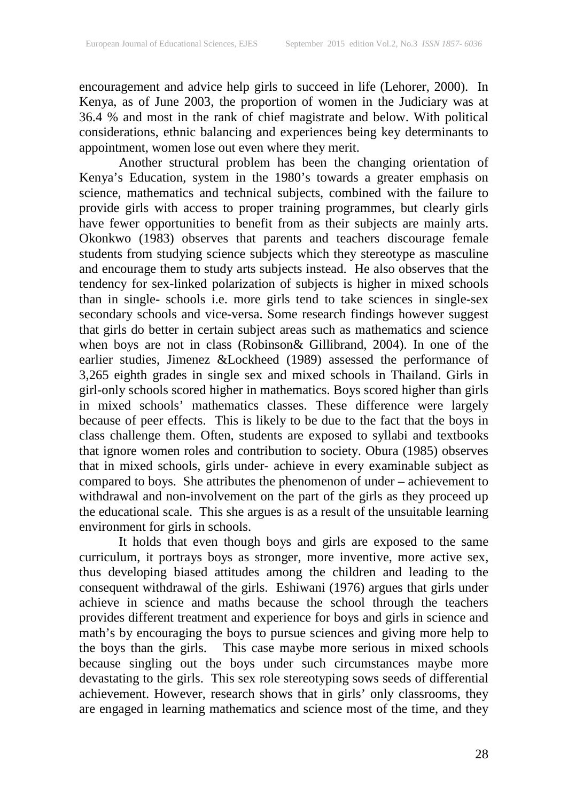encouragement and advice help girls to succeed in life (Lehorer, 2000). In Kenya, as of June 2003, the proportion of women in the Judiciary was at 36.4 % and most in the rank of chief magistrate and below. With political considerations, ethnic balancing and experiences being key determinants to appointment, women lose out even where they merit.

Another structural problem has been the changing orientation of Kenya's Education, system in the 1980's towards a greater emphasis on science, mathematics and technical subjects, combined with the failure to provide girls with access to proper training programmes, but clearly girls have fewer opportunities to benefit from as their subjects are mainly arts. Okonkwo (1983) observes that parents and teachers discourage female students from studying science subjects which they stereotype as masculine and encourage them to study arts subjects instead. He also observes that the tendency for sex-linked polarization of subjects is higher in mixed schools than in single- schools i.e. more girls tend to take sciences in single-sex secondary schools and vice-versa. Some research findings however suggest that girls do better in certain subject areas such as mathematics and science when boys are not in class (Robinson& Gillibrand, 2004). In one of the earlier studies, Jimenez &Lockheed (1989) assessed the performance of 3,265 eighth grades in single sex and mixed schools in Thailand. Girls in girl-only schools scored higher in mathematics. Boys scored higher than girls in mixed schools' mathematics classes. These difference were largely because of peer effects. This is likely to be due to the fact that the boys in class challenge them. Often, students are exposed to syllabi and textbooks that ignore women roles and contribution to society. Obura (1985) observes that in mixed schools, girls under- achieve in every examinable subject as compared to boys. She attributes the phenomenon of under – achievement to withdrawal and non-involvement on the part of the girls as they proceed up the educational scale. This she argues is as a result of the unsuitable learning environment for girls in schools.

It holds that even though boys and girls are exposed to the same curriculum, it portrays boys as stronger, more inventive, more active sex, thus developing biased attitudes among the children and leading to the consequent withdrawal of the girls. Eshiwani (1976) argues that girls under achieve in science and maths because the school through the teachers provides different treatment and experience for boys and girls in science and math's by encouraging the boys to pursue sciences and giving more help to the boys than the girls. This case maybe more serious in mixed schools because singling out the boys under such circumstances maybe more devastating to the girls. This sex role stereotyping sows seeds of differential achievement. However, research shows that in girls' only classrooms, they are engaged in learning mathematics and science most of the time, and they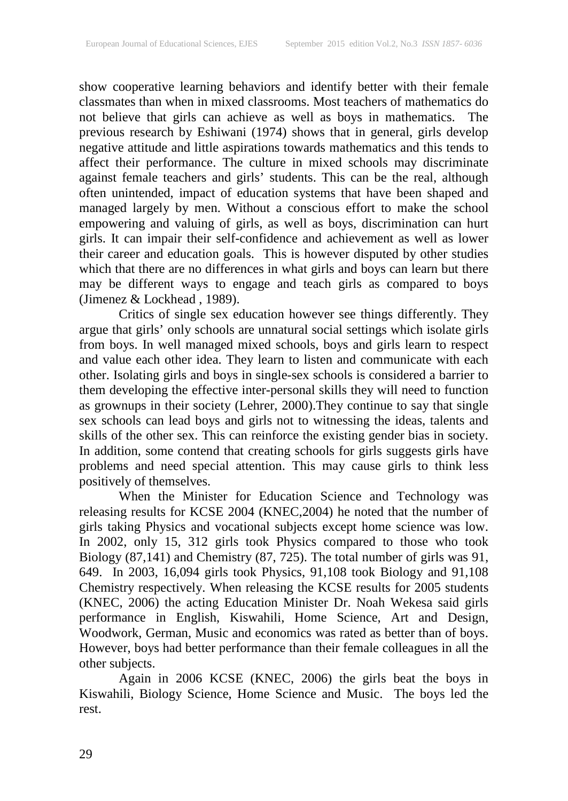show cooperative learning behaviors and identify better with their female classmates than when in mixed classrooms. Most teachers of mathematics do not believe that girls can achieve as well as boys in mathematics. The previous research by Eshiwani (1974) shows that in general, girls develop negative attitude and little aspirations towards mathematics and this tends to affect their performance. The culture in mixed schools may discriminate against female teachers and girls' students. This can be the real, although often unintended, impact of education systems that have been shaped and managed largely by men. Without a conscious effort to make the school empowering and valuing of girls, as well as boys, discrimination can hurt girls. It can impair their self-confidence and achievement as well as lower their career and education goals. This is however disputed by other studies which that there are no differences in what girls and boys can learn but there may be different ways to engage and teach girls as compared to boys (Jimenez & Lockhead , 1989).

Critics of single sex education however see things differently. They argue that girls' only schools are unnatural social settings which isolate girls from boys. In well managed mixed schools, boys and girls learn to respect and value each other idea. They learn to listen and communicate with each other. Isolating girls and boys in single-sex schools is considered a barrier to them developing the effective inter-personal skills they will need to function as grownups in their society (Lehrer, 2000).They continue to say that single sex schools can lead boys and girls not to witnessing the ideas, talents and skills of the other sex. This can reinforce the existing gender bias in society. In addition, some contend that creating schools for girls suggests girls have problems and need special attention. This may cause girls to think less positively of themselves.

When the Minister for Education Science and Technology was releasing results for KCSE 2004 (KNEC,2004) he noted that the number of girls taking Physics and vocational subjects except home science was low. In 2002, only 15, 312 girls took Physics compared to those who took Biology (87,141) and Chemistry (87, 725). The total number of girls was 91, 649. In 2003, 16,094 girls took Physics, 91,108 took Biology and 91,108 Chemistry respectively. When releasing the KCSE results for 2005 students (KNEC, 2006) the acting Education Minister Dr. Noah Wekesa said girls performance in English, Kiswahili, Home Science, Art and Design, Woodwork, German, Music and economics was rated as better than of boys. However, boys had better performance than their female colleagues in all the other subjects.

Again in 2006 KCSE (KNEC, 2006) the girls beat the boys in Kiswahili, Biology Science, Home Science and Music. The boys led the rest.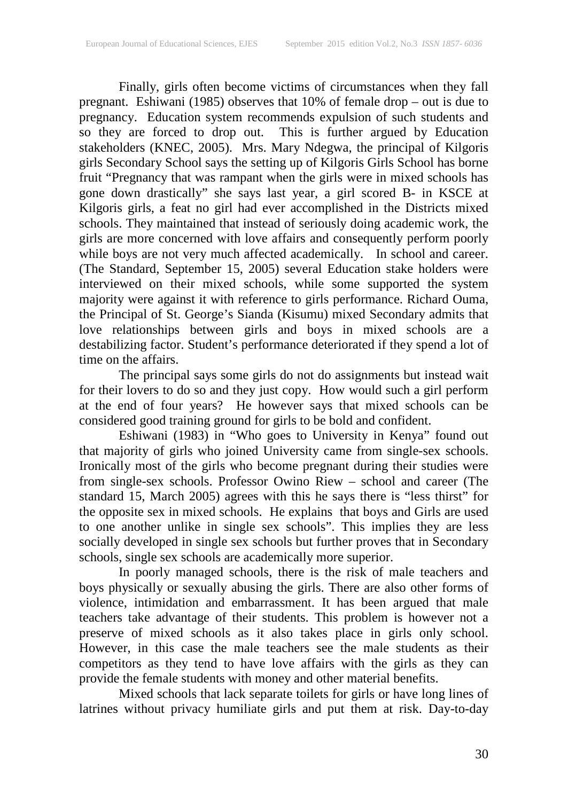Finally, girls often become victims of circumstances when they fall pregnant. Eshiwani (1985) observes that 10% of female drop – out is due to pregnancy. Education system recommends expulsion of such students and so they are forced to drop out. This is further argued by Education stakeholders (KNEC, 2005). Mrs. Mary Ndegwa, the principal of Kilgoris girls Secondary School says the setting up of Kilgoris Girls School has borne fruit "Pregnancy that was rampant when the girls were in mixed schools has gone down drastically" she says last year, a girl scored B- in KSCE at Kilgoris girls, a feat no girl had ever accomplished in the Districts mixed schools. They maintained that instead of seriously doing academic work, the girls are more concerned with love affairs and consequently perform poorly while boys are not very much affected academically. In school and career. (The Standard, September 15, 2005) several Education stake holders were interviewed on their mixed schools, while some supported the system majority were against it with reference to girls performance. Richard Ouma, the Principal of St. George's Sianda (Kisumu) mixed Secondary admits that love relationships between girls and boys in mixed schools are a destabilizing factor. Student's performance deteriorated if they spend a lot of time on the affairs.

The principal says some girls do not do assignments but instead wait for their lovers to do so and they just copy. How would such a girl perform at the end of four years? He however says that mixed schools can be considered good training ground for girls to be bold and confident.

Eshiwani (1983) in "Who goes to University in Kenya" found out that majority of girls who joined University came from single-sex schools. Ironically most of the girls who become pregnant during their studies were from single-sex schools. Professor Owino Riew – school and career (The standard 15, March 2005) agrees with this he says there is "less thirst" for the opposite sex in mixed schools. He explains that boys and Girls are used to one another unlike in single sex schools". This implies they are less socially developed in single sex schools but further proves that in Secondary schools, single sex schools are academically more superior.

In poorly managed schools, there is the risk of male teachers and boys physically or sexually abusing the girls. There are also other forms of violence, intimidation and embarrassment. It has been argued that male teachers take advantage of their students. This problem is however not a preserve of mixed schools as it also takes place in girls only school. However, in this case the male teachers see the male students as their competitors as they tend to have love affairs with the girls as they can provide the female students with money and other material benefits.

Mixed schools that lack separate toilets for girls or have long lines of latrines without privacy humiliate girls and put them at risk. Day-to-day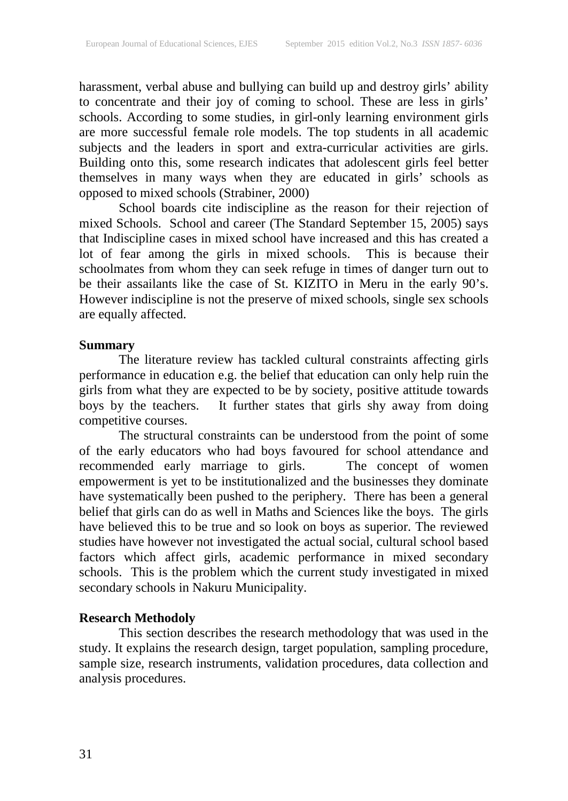harassment, verbal abuse and bullying can build up and destroy girls' ability to concentrate and their joy of coming to school. These are less in girls' schools. According to some studies, in girl-only learning environment girls are more successful female role models. The top students in all academic subjects and the leaders in sport and extra-curricular activities are girls. Building onto this, some research indicates that adolescent girls feel better themselves in many ways when they are educated in girls' schools as opposed to mixed schools (Strabiner, 2000)

School boards cite indiscipline as the reason for their rejection of mixed Schools. School and career (The Standard September 15, 2005) says that Indiscipline cases in mixed school have increased and this has created a lot of fear among the girls in mixed schools. This is because their schoolmates from whom they can seek refuge in times of danger turn out to be their assailants like the case of St. KIZITO in Meru in the early 90's. However indiscipline is not the preserve of mixed schools, single sex schools are equally affected.

#### **Summary**

The literature review has tackled cultural constraints affecting girls performance in education e.g. the belief that education can only help ruin the girls from what they are expected to be by society, positive attitude towards boys by the teachers. It further states that girls shy away from doing competitive courses.

The structural constraints can be understood from the point of some of the early educators who had boys favoured for school attendance and recommended early marriage to girls. The concept of women empowerment is yet to be institutionalized and the businesses they dominate have systematically been pushed to the periphery. There has been a general belief that girls can do as well in Maths and Sciences like the boys. The girls have believed this to be true and so look on boys as superior. The reviewed studies have however not investigated the actual social, cultural school based factors which affect girls, academic performance in mixed secondary schools. This is the problem which the current study investigated in mixed secondary schools in Nakuru Municipality.

# **Research Methodoly**

This section describes the research methodology that was used in the study. It explains the research design, target population, sampling procedure, sample size, research instruments, validation procedures, data collection and analysis procedures.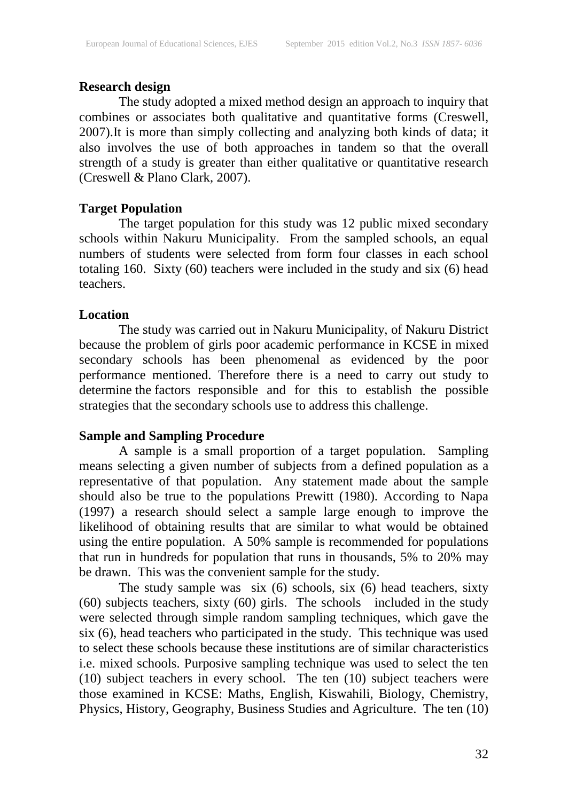# **Research design**

The study adopted a mixed method design an approach to inquiry that combines or associates both qualitative and quantitative forms (Creswell, 2007).It is more than simply collecting and analyzing both kinds of data; it also involves the use of both approaches in tandem so that the overall strength of a study is greater than either qualitative or quantitative research (Creswell & Plano Clark, 2007).

# **Target Population**

The target population for this study was 12 public mixed secondary schools within Nakuru Municipality. From the sampled schools, an equal numbers of students were selected from form four classes in each school totaling 160. Sixty (60) teachers were included in the study and six (6) head teachers.

### **Location**

The study was carried out in Nakuru Municipality, of Nakuru District because the problem of girls poor academic performance in KCSE in mixed secondary schools has been phenomenal as evidenced by the poor performance mentioned. Therefore there is a need to carry out study to determine the factors responsible and for this to establish the possible strategies that the secondary schools use to address this challenge.

# **Sample and Sampling Procedure**

A sample is a small proportion of a target population. Sampling means selecting a given number of subjects from a defined population as a representative of that population. Any statement made about the sample should also be true to the populations Prewitt (1980). According to Napa (1997) a research should select a sample large enough to improve the likelihood of obtaining results that are similar to what would be obtained using the entire population. A 50% sample is recommended for populations that run in hundreds for population that runs in thousands, 5% to 20% may be drawn. This was the convenient sample for the study.

The study sample was  $\sin(6)$  schools,  $\sin(6)$  head teachers,  $\sin(6)$ (60) subjects teachers, sixty (60) girls. The schools included in the study were selected through simple random sampling techniques, which gave the six (6), head teachers who participated in the study. This technique was used to select these schools because these institutions are of similar characteristics i.e. mixed schools. Purposive sampling technique was used to select the ten (10) subject teachers in every school. The ten (10) subject teachers were those examined in KCSE: Maths, English, Kiswahili, Biology, Chemistry, Physics, History, Geography, Business Studies and Agriculture. The ten (10)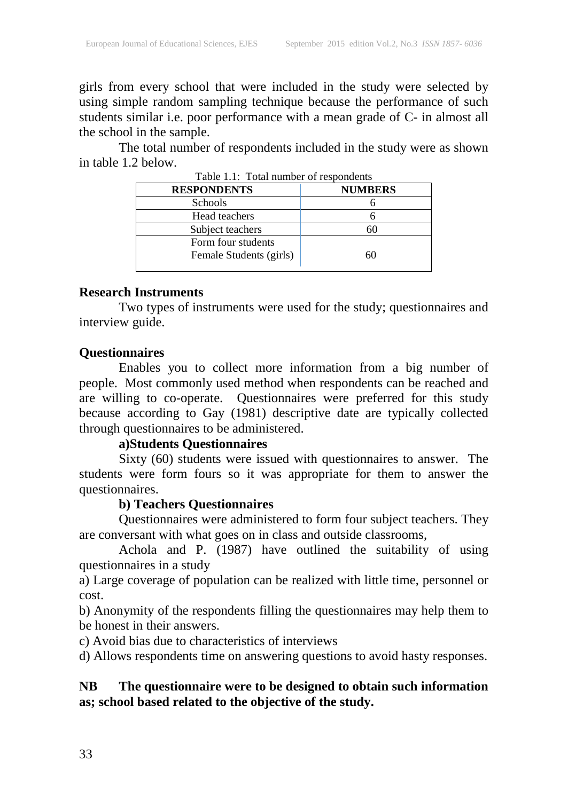girls from every school that were included in the study were selected by using simple random sampling technique because the performance of such students similar i.e. poor performance with a mean grade of C- in almost all the school in the sample.

The total number of respondents included in the study were as shown in table 1.2 below.

| Table 1.1: Total number of respondents |                |  |  |
|----------------------------------------|----------------|--|--|
| <b>RESPONDENTS</b>                     | <b>NUMBERS</b> |  |  |
| <b>Schools</b>                         |                |  |  |
| Head teachers                          |                |  |  |
| Subject teachers                       | 60             |  |  |
| Form four students                     |                |  |  |
| Female Students (girls)                | 60             |  |  |
|                                        |                |  |  |

Table 1.1: Total number of respondents

#### **Research Instruments**

Two types of instruments were used for the study; questionnaires and interview guide.

#### **Questionnaires**

Enables you to collect more information from a big number of people. Most commonly used method when respondents can be reached and are willing to co-operate. Questionnaires were preferred for this study because according to Gay (1981) descriptive date are typically collected through questionnaires to be administered.

# **a)Students Questionnaires**

Sixty (60) students were issued with questionnaires to answer. The students were form fours so it was appropriate for them to answer the questionnaires.

# **b) Teachers Questionnaires**

Questionnaires were administered to form four subject teachers. They are conversant with what goes on in class and outside classrooms,

Achola and P. (1987) have outlined the suitability of using questionnaires in a study

a) Large coverage of population can be realized with little time, personnel or cost.

b) Anonymity of the respondents filling the questionnaires may help them to be honest in their answers.

c) Avoid bias due to characteristics of interviews

d) Allows respondents time on answering questions to avoid hasty responses.

# **NB The questionnaire were to be designed to obtain such information as; school based related to the objective of the study.**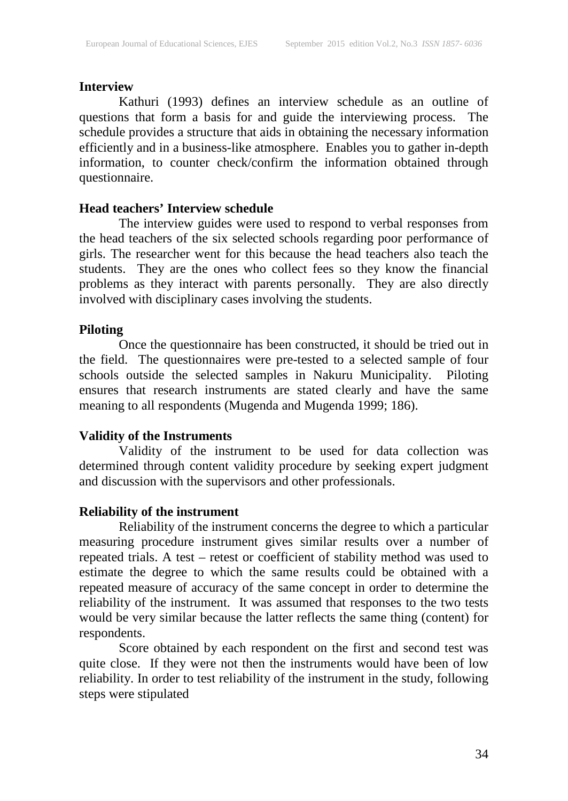#### **Interview**

Kathuri (1993) defines an interview schedule as an outline of questions that form a basis for and guide the interviewing process. The schedule provides a structure that aids in obtaining the necessary information efficiently and in a business-like atmosphere. Enables you to gather in-depth information, to counter check/confirm the information obtained through questionnaire.

### **Head teachers' Interview schedule**

The interview guides were used to respond to verbal responses from the head teachers of the six selected schools regarding poor performance of girls. The researcher went for this because the head teachers also teach the students. They are the ones who collect fees so they know the financial problems as they interact with parents personally. They are also directly involved with disciplinary cases involving the students.

# **Piloting**

Once the questionnaire has been constructed, it should be tried out in the field. The questionnaires were pre-tested to a selected sample of four schools outside the selected samples in Nakuru Municipality. Piloting ensures that research instruments are stated clearly and have the same meaning to all respondents (Mugenda and Mugenda 1999; 186).

#### **Validity of the Instruments**

Validity of the instrument to be used for data collection was determined through content validity procedure by seeking expert judgment and discussion with the supervisors and other professionals.

# **Reliability of the instrument**

Reliability of the instrument concerns the degree to which a particular measuring procedure instrument gives similar results over a number of repeated trials. A test – retest or coefficient of stability method was used to estimate the degree to which the same results could be obtained with a repeated measure of accuracy of the same concept in order to determine the reliability of the instrument. It was assumed that responses to the two tests would be very similar because the latter reflects the same thing (content) for respondents.

Score obtained by each respondent on the first and second test was quite close. If they were not then the instruments would have been of low reliability. In order to test reliability of the instrument in the study, following steps were stipulated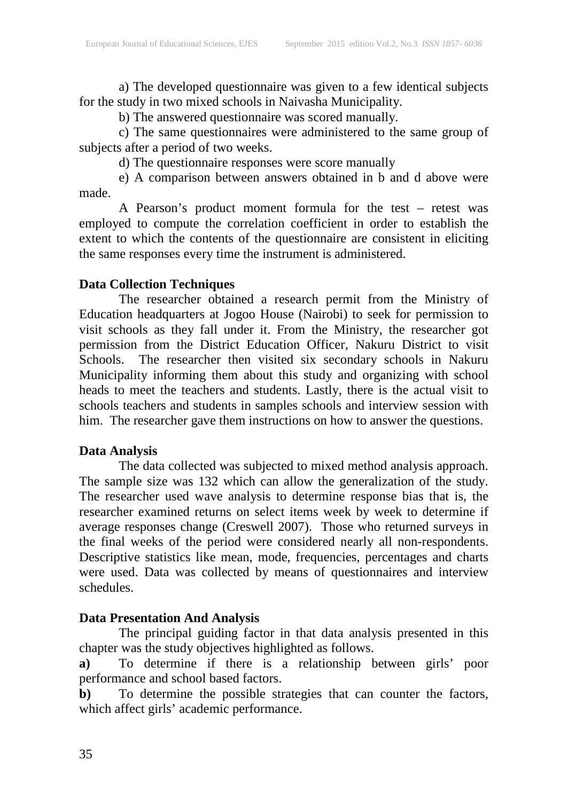a) The developed questionnaire was given to a few identical subjects for the study in two mixed schools in Naivasha Municipality.

b) The answered questionnaire was scored manually.

c) The same questionnaires were administered to the same group of subjects after a period of two weeks.

d) The questionnaire responses were score manually

e) A comparison between answers obtained in b and d above were made.

A Pearson's product moment formula for the test – retest was employed to compute the correlation coefficient in order to establish the extent to which the contents of the questionnaire are consistent in eliciting the same responses every time the instrument is administered.

# **Data Collection Techniques**

The researcher obtained a research permit from the Ministry of Education headquarters at Jogoo House (Nairobi) to seek for permission to visit schools as they fall under it. From the Ministry, the researcher got permission from the District Education Officer, Nakuru District to visit Schools. The researcher then visited six secondary schools in Nakuru Municipality informing them about this study and organizing with school heads to meet the teachers and students. Lastly, there is the actual visit to schools teachers and students in samples schools and interview session with him. The researcher gave them instructions on how to answer the questions.

# **Data Analysis**

The data collected was subjected to mixed method analysis approach. The sample size was 132 which can allow the generalization of the study. The researcher used wave analysis to determine response bias that is, the researcher examined returns on select items week by week to determine if average responses change (Creswell 2007). Those who returned surveys in the final weeks of the period were considered nearly all non-respondents. Descriptive statistics like mean, mode, frequencies, percentages and charts were used. Data was collected by means of questionnaires and interview schedules.

# **Data Presentation And Analysis**

The principal guiding factor in that data analysis presented in this chapter was the study objectives highlighted as follows.

**a)** To determine if there is a relationship between girls' poor performance and school based factors.

**b)** To determine the possible strategies that can counter the factors, which affect girls' academic performance.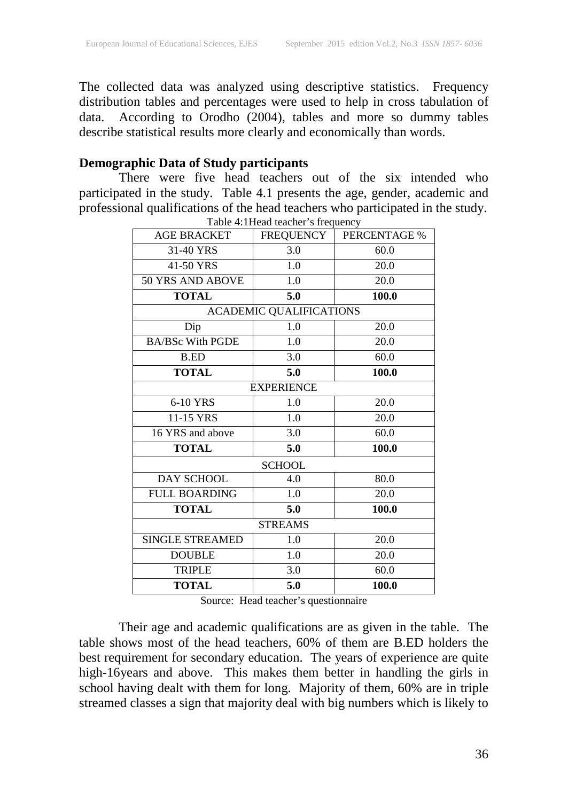The collected data was analyzed using descriptive statistics. Frequency distribution tables and percentages were used to help in cross tabulation of data. According to Orodho (2004), tables and more so dummy tables describe statistical results more clearly and economically than words.

# **Demographic Data of Study participants**

There were five head teachers out of the six intended who participated in the study. Table 4.1 presents the age, gender, academic and professional qualifications of the head teachers who participated in the study.

| Table 4:1 Head teacher's frequency |                                |                     |  |  |
|------------------------------------|--------------------------------|---------------------|--|--|
| <b>AGE BRACKET</b>                 | FREQUENCY                      | <b>PERCENTAGE %</b> |  |  |
| 31-40 YRS                          | 3.0                            | 60.0                |  |  |
| 41-50 YRS                          | 1.0                            | 20.0                |  |  |
| 50 YRS AND ABOVE                   | 1.0                            | 20.0                |  |  |
| <b>TOTAL</b>                       | 5.0                            | 100.0               |  |  |
|                                    | <b>ACADEMIC QUALIFICATIONS</b> |                     |  |  |
| Dip                                | 1.0                            | 20.0                |  |  |
| <b>BA/BSc With PGDE</b>            | 1.0                            | 20.0                |  |  |
| <b>B.ED</b>                        | 3.0                            | 60.0                |  |  |
| <b>TOTAL</b>                       | 5.0                            | 100.0               |  |  |
|                                    | <b>EXPERIENCE</b>              |                     |  |  |
| 6-10 YRS                           | 1.0                            | 20.0                |  |  |
| 11-15 YRS                          | 1.0                            | 20.0                |  |  |
| 16 YRS and above                   | 3.0                            | 60.0                |  |  |
| <b>TOTAL</b>                       | 5.0                            | 100.0               |  |  |
|                                    | <b>SCHOOL</b>                  |                     |  |  |
| <b>DAY SCHOOL</b>                  | 4.0                            | 80.0                |  |  |
| <b>FULL BOARDING</b>               | 1.0                            | 20.0                |  |  |
| <b>TOTAL</b>                       | 5.0                            | 100.0               |  |  |
| <b>STREAMS</b>                     |                                |                     |  |  |
| <b>SINGLE STREAMED</b>             | 1.0                            | 20.0                |  |  |
| <b>DOUBLE</b>                      | 1.0                            | 20.0                |  |  |
| <b>TRIPLE</b>                      | 3.0                            | 60.0                |  |  |
| <b>TOTAL</b>                       | 5.0                            | 100.0               |  |  |

Source: Head teacher's questionnaire

Their age and academic qualifications are as given in the table. The table shows most of the head teachers, 60% of them are B.ED holders the best requirement for secondary education. The years of experience are quite high-16years and above. This makes them better in handling the girls in school having dealt with them for long. Majority of them, 60% are in triple streamed classes a sign that majority deal with big numbers which is likely to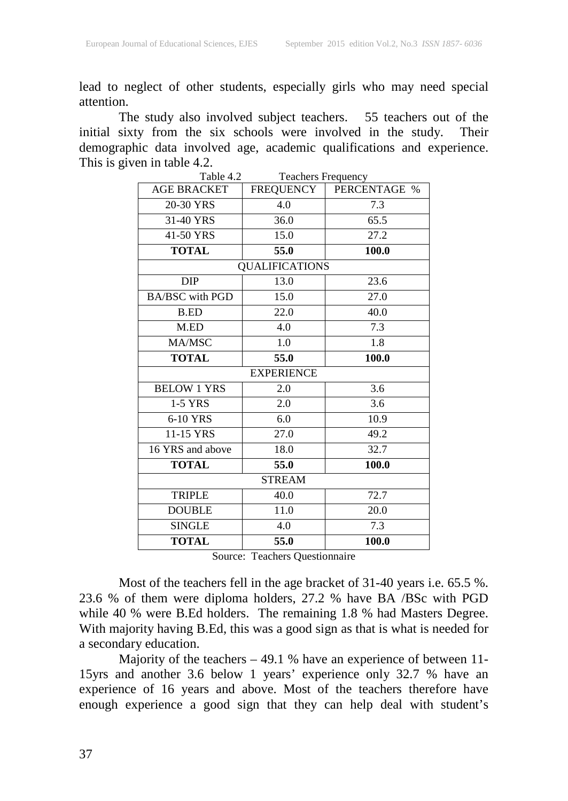lead to neglect of other students, especially girls who may need special attention.

The study also involved subject teachers. 55 teachers out of the initial sixty from the six schools were involved in the study. Their demographic data involved age, academic qualifications and experience. This is given in table 4.2.<br>Table 4.2

| $1$ avit $4.2$<br>Teachers Program y |              |  |  |  |
|--------------------------------------|--------------|--|--|--|
| FREQUENCY                            | PERCENTAGE % |  |  |  |
| 4.0                                  | 7.3          |  |  |  |
| 36.0                                 | 65.5         |  |  |  |
| 15.0                                 | 27.2         |  |  |  |
| 55.0                                 | 100.0        |  |  |  |
| <b>QUALIFICATIONS</b>                |              |  |  |  |
| 13.0                                 | 23.6         |  |  |  |
| 15.0                                 | 27.0         |  |  |  |
| 22.0                                 | 40.0         |  |  |  |
| 4.0                                  | 7.3          |  |  |  |
| 1.0                                  | 1.8          |  |  |  |
| 55.0                                 | 100.0        |  |  |  |
| <b>EXPERIENCE</b>                    |              |  |  |  |
| 2.0                                  | 3.6          |  |  |  |
| 2.0                                  | 3.6          |  |  |  |
| 6.0                                  | 10.9         |  |  |  |
| 27.0                                 | 49.2         |  |  |  |
| 18.0                                 | 32.7         |  |  |  |
| 55.0                                 | 100.0        |  |  |  |
| <b>STREAM</b>                        |              |  |  |  |
| 40.0                                 | 72.7         |  |  |  |
| 11.0                                 | 20.0         |  |  |  |
| 4.0                                  | 7.3          |  |  |  |
| 55.0                                 | 100.0        |  |  |  |
|                                      |              |  |  |  |

Teachers Frequency

Source: Teachers Questionnaire

Most of the teachers fell in the age bracket of 31-40 years i.e. 65.5 %. 23.6 % of them were diploma holders, 27.2 % have BA /BSc with PGD while 40 % were B.Ed holders. The remaining 1.8 % had Masters Degree. With majority having B.Ed, this was a good sign as that is what is needed for a secondary education.

Majority of the teachers – 49.1 % have an experience of between 11- 15yrs and another 3.6 below 1 years' experience only 32.7 % have an experience of 16 years and above. Most of the teachers therefore have enough experience a good sign that they can help deal with student's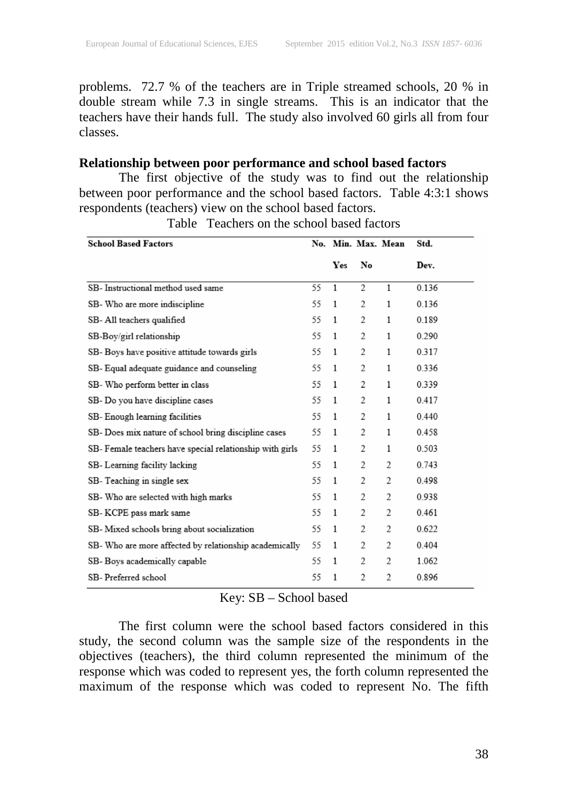problems. 72.7 % of the teachers are in Triple streamed schools, 20 % in double stream while 7.3 in single streams. This is an indicator that the teachers have their hands full. The study also involved 60 girls all from four classes.

### **Relationship between poor performance and school based factors**

The first objective of the study was to find out the relationship between poor performance and the school based factors. Table 4:3:1 shows respondents (teachers) view on the school based factors.

| <b>School Based Factors</b>                              |    |     |                | No. Min. Max. Mean | Std.  |
|----------------------------------------------------------|----|-----|----------------|--------------------|-------|
|                                                          |    | Yes | No             |                    | Dev.  |
| SB- Instructional method used same                       | 55 | 1   | 2              | 1                  | 0.136 |
| SB- Who are more indiscipline                            | 55 | 1   | 2              | 1                  | 0.136 |
| SB-All teachers qualified                                | 55 | 1   | 2              | 1                  | 0.189 |
| SB-Boy/girl relationship                                 | 55 | 1   | $\overline{c}$ | 1                  | 0.290 |
| SB- Boys have positive attitude towards girls            | 55 | 1   | 2              | 1                  | 0.317 |
| SB- Equal adequate guidance and counseling               | 55 | 1   | 2              | 1                  | 0.336 |
| SB- Who perform better in class                          | 55 | 1   | 2              | 1                  | 0.339 |
| SB- Do you have discipline cases                         | 55 | 1   | $\overline{c}$ | 1                  | 0.417 |
| SB- Enough learning facilities                           | 55 | 1   | 2              | 1                  | 0.440 |
| SB- Does mix nature of school bring discipline cases     | 55 | 1   | 2              | 1                  | 0.458 |
| SB- Female teachers have special relationship with girls | 55 | 1   | 2              | 1                  | 0.503 |
| SB-Learning facility lacking                             | 55 | 1   | 2              | 2                  | 0.743 |
| SB-Teaching in single sex                                | 55 | 1   | 2              | 2                  | 0.498 |
| SB- Who are selected with high marks                     | 55 | 1   | 2              | 2                  | 0.938 |
| SB-KCPE pass mark same                                   | 55 | 1   | 2              | 2                  | 0.461 |
| SB- Mixed schools bring about socialization              | 55 | 1   | 2              | 2                  | 0.622 |
| SB- Who are more affected by relationship academically   | 55 | 1   | 2              | 2                  | 0.404 |
| SB- Boys academically capable                            | 55 | 1   | 2              | 2                  | 1.062 |
| SB-Preferred school                                      | 55 | 1   | 2              | 2                  | 0.896 |

Table Teachers on the school based factors

#### Key: SB – School based

The first column were the school based factors considered in this study, the second column was the sample size of the respondents in the objectives (teachers), the third column represented the minimum of the response which was coded to represent yes, the forth column represented the maximum of the response which was coded to represent No. The fifth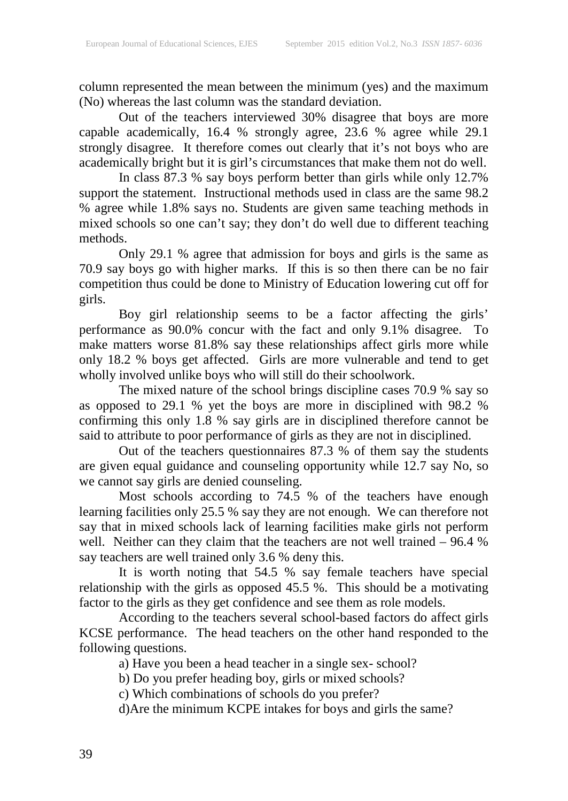column represented the mean between the minimum (yes) and the maximum (No) whereas the last column was the standard deviation.

Out of the teachers interviewed 30% disagree that boys are more capable academically, 16.4 % strongly agree, 23.6 % agree while 29.1 strongly disagree. It therefore comes out clearly that it's not boys who are academically bright but it is girl's circumstances that make them not do well.

In class 87.3 % say boys perform better than girls while only 12.7% support the statement. Instructional methods used in class are the same 98.2 % agree while 1.8% says no. Students are given same teaching methods in mixed schools so one can't say; they don't do well due to different teaching methods.

Only 29.1 % agree that admission for boys and girls is the same as 70.9 say boys go with higher marks. If this is so then there can be no fair competition thus could be done to Ministry of Education lowering cut off for girls.

Boy girl relationship seems to be a factor affecting the girls' performance as 90.0% concur with the fact and only 9.1% disagree. To make matters worse 81.8% say these relationships affect girls more while only 18.2 % boys get affected. Girls are more vulnerable and tend to get wholly involved unlike boys who will still do their schoolwork.

The mixed nature of the school brings discipline cases 70.9 % say so as opposed to 29.1 % yet the boys are more in disciplined with 98.2 % confirming this only 1.8 % say girls are in disciplined therefore cannot be said to attribute to poor performance of girls as they are not in disciplined.

Out of the teachers questionnaires 87.3 % of them say the students are given equal guidance and counseling opportunity while 12.7 say No, so we cannot say girls are denied counseling.

Most schools according to 74.5 % of the teachers have enough learning facilities only 25.5 % say they are not enough. We can therefore not say that in mixed schools lack of learning facilities make girls not perform well. Neither can they claim that the teachers are not well trained – 96.4 % say teachers are well trained only 3.6 % deny this.

It is worth noting that 54.5 % say female teachers have special relationship with the girls as opposed 45.5 %. This should be a motivating factor to the girls as they get confidence and see them as role models.

According to the teachers several school-based factors do affect girls KCSE performance. The head teachers on the other hand responded to the following questions.

a) Have you been a head teacher in a single sex- school?

b) Do you prefer heading boy, girls or mixed schools?

c) Which combinations of schools do you prefer?

d)Are the minimum KCPE intakes for boys and girls the same?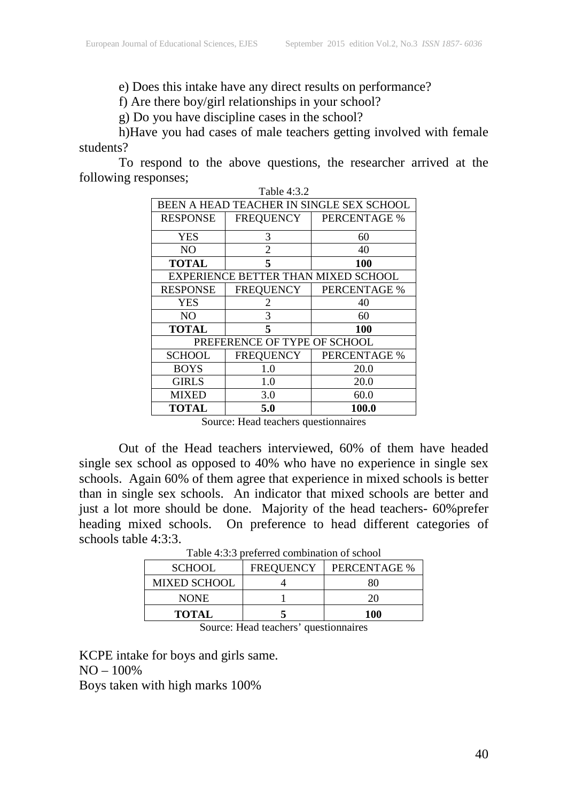e) Does this intake have any direct results on performance?

f) Are there boy/girl relationships in your school?

g) Do you have discipline cases in the school?

h)Have you had cases of male teachers getting involved with female students?

To respond to the above questions, the researcher arrived at the following responses;  $T<sub>1</sub>$ 

| 1 able 4:3.2                             |                  |                                     |  |  |
|------------------------------------------|------------------|-------------------------------------|--|--|
| BEEN A HEAD TEACHER IN SINGLE SEX SCHOOL |                  |                                     |  |  |
| <b>RESPONSE</b>                          | FREQUENCY        | PERCENTAGE %                        |  |  |
| <b>YES</b>                               | 3                | 60                                  |  |  |
| NO.                                      | 2                | 40                                  |  |  |
| <b>TOTAL</b>                             | 5                | 100                                 |  |  |
|                                          |                  | EXPERIENCE BETTER THAN MIXED SCHOOL |  |  |
| <b>RESPONSE</b>                          | <b>FREQUENCY</b> | <b>PERCENTAGE %</b>                 |  |  |
| <b>YES</b>                               | 2                | 40                                  |  |  |
| NO.                                      | 3                | 60                                  |  |  |
| TOTAL                                    | 5                | 100                                 |  |  |
| PREFERENCE OF TYPE OF SCHOOL             |                  |                                     |  |  |
| <b>SCHOOL</b>                            | <b>FREQUENCY</b> | <b>PERCENTAGE %</b>                 |  |  |
| <b>BOYS</b>                              | 1.0              | 20.0                                |  |  |
| <b>GIRLS</b>                             | 1.0              | 20.0                                |  |  |
| <b>MIXED</b>                             | 3.0              | 60.0                                |  |  |
| <b>TOTAL</b>                             | 5.0              | 100.0                               |  |  |

Source: Head teachers questionnaires

Out of the Head teachers interviewed, 60% of them have headed single sex school as opposed to 40% who have no experience in single sex schools. Again 60% of them agree that experience in mixed schools is better than in single sex schools. An indicator that mixed schools are better and just a lot more should be done. Majority of the head teachers- 60%prefer heading mixed schools. On preference to head different categories of schools table 4:3:3.

| <b>SCHOOL</b>       | <b>FREQUENCY</b> | PERCENTAGE % |
|---------------------|------------------|--------------|
| <b>MIXED SCHOOL</b> |                  |              |
| <b>NONE</b>         |                  |              |
| <b>TOTAL</b>        |                  | 100          |

Source: Head teachers' questionnaires

KCPE intake for boys and girls same. NO – 100% Boys taken with high marks 100%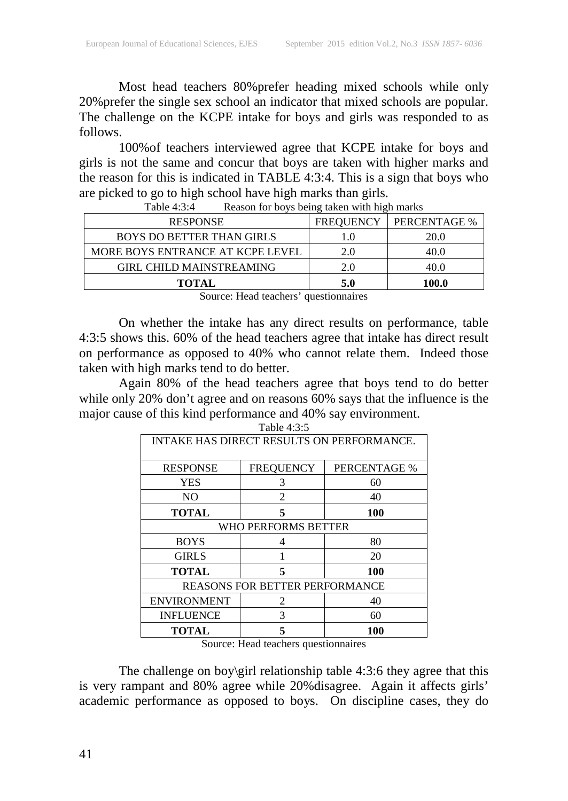Most head teachers 80%prefer heading mixed schools while only 20%prefer the single sex school an indicator that mixed schools are popular. The challenge on the KCPE intake for boys and girls was responded to as follows.

100%of teachers interviewed agree that KCPE intake for boys and girls is not the same and concur that boys are taken with higher marks and the reason for this is indicated in TABLE 4:3:4. This is a sign that boys who are picked to go to high school have high marks than girls.

| <b>RESPONSE</b>                  | <b>FREQUENCY</b> | PERCENTAGE % |
|----------------------------------|------------------|--------------|
| <b>BOYS DO BETTER THAN GIRLS</b> |                  | 20.0         |
| MORE BOYS ENTRANCE AT KCPE LEVEL | 2.0              |              |
| <b>GIRL CHILD MAINSTREAMING</b>  | 2.0              |              |
| <b>TOTAL</b>                     | 5.0              | 100.0        |

| Table 4:3:4 |  |  |  |  | Reason for boys being taken with high marks |  |
|-------------|--|--|--|--|---------------------------------------------|--|
|-------------|--|--|--|--|---------------------------------------------|--|

Source: Head teachers' questionnaires

On whether the intake has any direct results on performance, table 4:3:5 shows this. 60% of the head teachers agree that intake has direct result on performance as opposed to 40% who cannot relate them. Indeed those taken with high marks tend to do better.

Again 80% of the head teachers agree that boys tend to do better while only 20% don't agree and on reasons 60% says that the influence is the major cause of this kind performance and 40% say environment.

| <b>INTAKE HAS DIRECT RESULTS ON PERFORMANCE.</b> |                  |              |  |  |
|--------------------------------------------------|------------------|--------------|--|--|
| <b>RESPONSE</b>                                  | <b>FREQUENCY</b> | PERCENTAGE % |  |  |
| <b>YES</b>                                       | 3                | 60           |  |  |
| NO                                               | 2                | 40           |  |  |
| <b>TOTAL</b>                                     |                  | 100          |  |  |
| WHO PERFORMS BETTER                              |                  |              |  |  |
| <b>BOYS</b>                                      | 4                | 80           |  |  |
| <b>GIRLS</b>                                     |                  | 20           |  |  |
| <b>TOTAL</b>                                     | 5                | 100          |  |  |
| <b>REASONS FOR BETTER PERFORMANCE</b>            |                  |              |  |  |
| <b>ENVIRONMENT</b>                               | $\mathfrak{D}$   | 40           |  |  |
| <b>INFLUENCE</b>                                 | 3                | 60           |  |  |
| <b>TOTAL</b>                                     |                  | 100          |  |  |

Source: Head teachers questionnaires

The challenge on boy\girl relationship table 4:3:6 they agree that this is very rampant and 80% agree while 20%disagree. Again it affects girls' academic performance as opposed to boys. On discipline cases, they do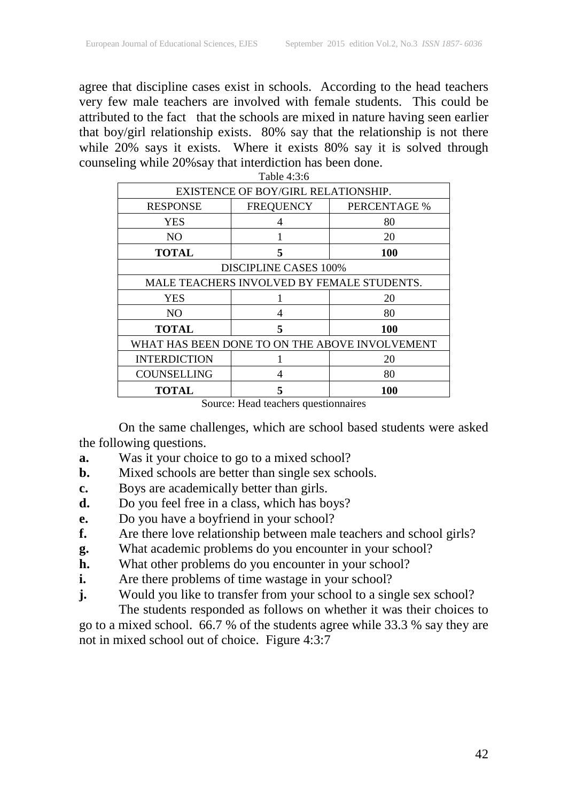agree that discipline cases exist in schools. According to the head teachers very few male teachers are involved with female students. This could be attributed to the fact that the schools are mixed in nature having seen earlier that boy/girl relationship exists. 80% say that the relationship is not there while 20% says it exists. Where it exists 80% say it is solved through counseling while 20%say that interdiction has been done.

| Table 4:3:6                                    |                                            |              |  |  |
|------------------------------------------------|--------------------------------------------|--------------|--|--|
| EXISTENCE OF BOY/GIRL RELATIONSHIP.            |                                            |              |  |  |
| <b>RESPONSE</b>                                | <b>FREQUENCY</b>                           | PERCENTAGE % |  |  |
| <b>YES</b>                                     | 4                                          | 80           |  |  |
| NO                                             |                                            | 20           |  |  |
| <b>TOTAL</b>                                   | 5                                          | 100          |  |  |
|                                                | <b>DISCIPLINE CASES 100%</b>               |              |  |  |
|                                                | MALE TEACHERS INVOLVED BY FEMALE STUDENTS. |              |  |  |
| YES                                            |                                            | 20           |  |  |
| N <sub>O</sub>                                 | 4                                          | 80           |  |  |
| <b>TOTAL</b>                                   | 5                                          | 100          |  |  |
| WHAT HAS BEEN DONE TO ON THE ABOVE INVOLVEMENT |                                            |              |  |  |
| <b>INTERDICTION</b>                            |                                            | 20           |  |  |
| <b>COUNSELLING</b>                             | 4                                          | 80           |  |  |
| <b>TOTAL</b>                                   | 5                                          | 100          |  |  |
| $\sim$                                         | $-$<br>$\blacksquare$                      | ۰            |  |  |

On the same challenges, which are school based students were asked the following questions.

- **a.** Was it your choice to go to a mixed school?
- **b.** Mixed schools are better than single sex schools.
- **c.** Boys are academically better than girls.
- **d.** Do you feel free in a class, which has boys?
- **e.** Do you have a boyfriend in your school?
- **f.** Are there love relationship between male teachers and school girls?
- **g.** What academic problems do you encounter in your school?
- **h.** What other problems do you encounter in your school?
- **i.** Are there problems of time wastage in your school?
- **j.** Would you like to transfer from your school to a single sex school?

The students responded as follows on whether it was their choices to go to a mixed school. 66.7 % of the students agree while 33.3 % say they are not in mixed school out of choice. Figure 4:3:7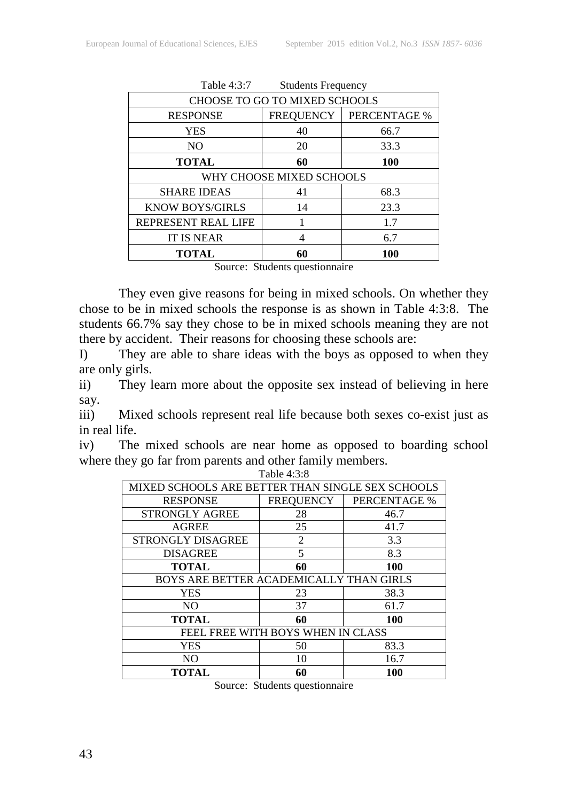| Table 4:3:7<br><b>Students Frequency</b> |                  |              |  |
|------------------------------------------|------------------|--------------|--|
| CHOOSE TO GO TO MIXED SCHOOLS            |                  |              |  |
| <b>RESPONSE</b>                          | <b>FREQUENCY</b> | PERCENTAGE % |  |
| <b>YES</b>                               | 40               | 66.7         |  |
| N <sub>O</sub>                           | 20               | 33.3         |  |
| <b>TOTAL</b>                             | 60               | 100          |  |
| WHY CHOOSE MIXED SCHOOLS                 |                  |              |  |
| <b>SHARE IDEAS</b>                       | 41               | 68.3         |  |
| <b>KNOW BOYS/GIRLS</b>                   | 14               | 23.3         |  |
| REPRESENT REAL LIFE                      |                  | 1.7          |  |
| <b>IT IS NEAR</b>                        |                  | 6.7          |  |
| <b>TOTAL</b>                             | 60               | 100          |  |
| Course Ctudents questionneurs            |                  |              |  |

Source: Students questionnaire

They even give reasons for being in mixed schools. On whether they chose to be in mixed schools the response is as shown in Table 4:3:8. The students 66.7% say they chose to be in mixed schools meaning they are not there by accident. Their reasons for choosing these schools are:

I) They are able to share ideas with the boys as opposed to when they are only girls.

ii) They learn more about the opposite sex instead of believing in here say.

iii) Mixed schools represent real life because both sexes co-exist just as in real life.

iv) The mixed schools are near home as opposed to boarding school where they go far from parents and other family members.

| Table 4:3:8                                      |           |              |  |  |
|--------------------------------------------------|-----------|--------------|--|--|
| MIXED SCHOOLS ARE BETTER THAN SINGLE SEX SCHOOLS |           |              |  |  |
| <b>RESPONSE</b>                                  | FREQUENCY | PERCENTAGE % |  |  |
| STRONGLY AGREE                                   | 28        | 46.7         |  |  |
| <b>AGREE</b>                                     | 25        | 41.7         |  |  |
| <b>STRONGLY DISAGREE</b>                         | 2         | 3.3          |  |  |
| <b>DISAGREE</b>                                  | 5         | 8.3          |  |  |
| <b>TOTAL</b>                                     | 60        | 100          |  |  |
| BOYS ARE BETTER ACADEMICALLY THAN GIRLS          |           |              |  |  |
| <b>YES</b>                                       | 23        | 38.3         |  |  |
| NO.                                              | 37        | 61.7         |  |  |
| <b>TOTAL</b>                                     | 60        | 100          |  |  |
| FEEL FREE WITH BOYS WHEN IN CLASS                |           |              |  |  |
| <b>YES</b>                                       | 50        | 83.3         |  |  |
| NO.                                              | 10        | 16.7         |  |  |
| TOTAL                                            | 60        | 100          |  |  |

Source: Students questionnaire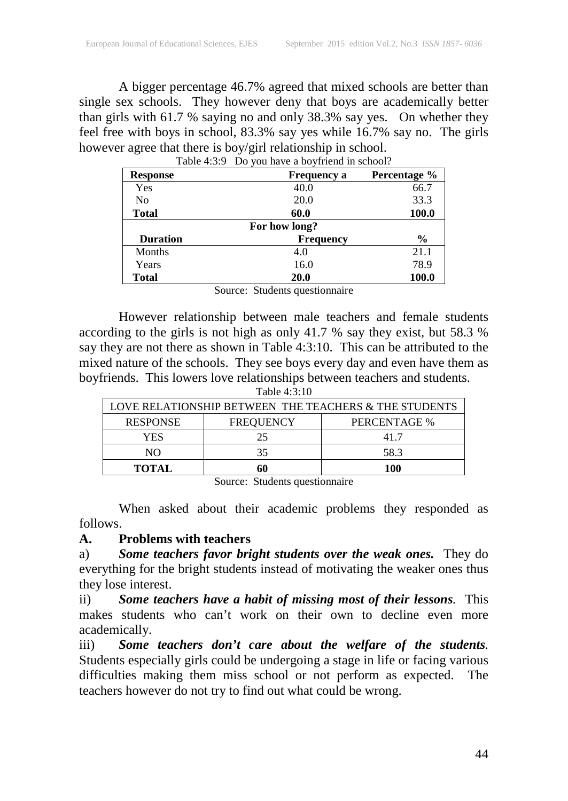A bigger percentage 46.7% agreed that mixed schools are better than single sex schools. They however deny that boys are academically better than girls with 61.7 % saying no and only 38.3% say yes. On whether they feel free with boys in school, 83.3% say yes while 16.7% say no. The girls however agree that there is boy/girl relationship in school.

| <b>Response</b> | <b>Frequency a</b> | Percentage % |  |
|-----------------|--------------------|--------------|--|
| Yes             | 40.0               | 66.7         |  |
| N <sub>0</sub>  | 20.0               | 33.3         |  |
| <b>Total</b>    | 60.0               | 100.0        |  |
| For how long?   |                    |              |  |
| <b>Duration</b> | <b>Frequency</b>   | $\%$         |  |
| <b>Months</b>   | 4.0                | 21.1         |  |
| Years           | 16.0               | 78.9         |  |
| Total           | 20.0               | 100.0        |  |

Table 4:3:9 Do you have a boyfriend in school?

Source: Students questionnaire

However relationship between male teachers and female students according to the girls is not high as only 41.7 % say they exist, but 58.3 % say they are not there as shown in Table 4:3:10. This can be attributed to the mixed nature of the schools. They see boys every day and even have them as boyfriends. This lowers love relationships between teachers and students.

| Table 4:3:10 |  |  |
|--------------|--|--|
|--------------|--|--|

| LOVE RELATIONSHIP BETWEEN THE TEACHERS & THE STUDENTS |                  |              |  |
|-------------------------------------------------------|------------------|--------------|--|
| <b>RESPONSE</b>                                       | <b>FREQUENCY</b> | PERCENTAGE % |  |
| YES                                                   | 25               | 417          |  |
| NО                                                    | 35               | 58.3         |  |
| <b>TOTAL</b>                                          |                  | 100-         |  |

Source: Students questionnaire

When asked about their academic problems they responded as follows.

# **A. Problems with teachers**

a) *Some teachers favor bright students over the weak ones.* They do everything for the bright students instead of motivating the weaker ones thus they lose interest.

ii) *Some teachers have a habit of missing most of their lessons.* This makes students who can't work on their own to decline even more academically.

iii) *Some teachers don't care about the welfare of the students.* Students especially girls could be undergoing a stage in life or facing various difficulties making them miss school or not perform as expected. The teachers however do not try to find out what could be wrong.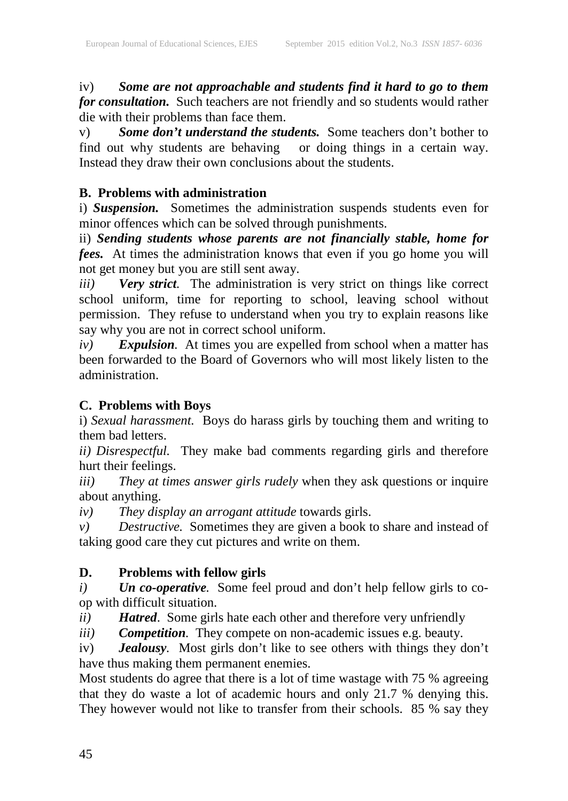iv) *Some are not approachable and students find it hard to go to them for consultation.* Such teachers are not friendly and so students would rather die with their problems than face them.

v) *Some don't understand the students.* Some teachers don't bother to find out why students are behaving or doing things in a certain way. Instead they draw their own conclusions about the students.

# **B. Problems with administration**

i) *Suspension.* Sometimes the administration suspends students even for minor offences which can be solved through punishments.

ii) *Sending students whose parents are not financially stable, home for fees.* At times the administration knows that even if you go home you will not get money but you are still sent away.

*iii) Very strict.* The administration is very strict on things like correct school uniform, time for reporting to school, leaving school without permission. They refuse to understand when you try to explain reasons like say why you are not in correct school uniform.

*iv) Expulsion.* At times you are expelled from school when a matter has been forwarded to the Board of Governors who will most likely listen to the administration.

# **C. Problems with Boys**

i) *Sexual harassment.* Boys do harass girls by touching them and writing to them bad letters.

*ii) Disrespectful.* They make bad comments regarding girls and therefore hurt their feelings.

*iii) They at times answer girls rudely* when they ask questions or inquire about anything.

*iv) They display an arrogant attitude* towards girls.

*v) Destructive.* Sometimes they are given a book to share and instead of taking good care they cut pictures and write on them.

# **D. Problems with fellow girls**

*i) Un co-operative.* Some feel proud and don't help fellow girls to coop with difficult situation.

*ii) Hatred*. Some girls hate each other and therefore very unfriendly

*iii) Competition.* They compete on non-academic issues e.g. beauty.

iv) *Jealousy.* Most girls don't like to see others with things they don't have thus making them permanent enemies.

Most students do agree that there is a lot of time wastage with 75 % agreeing that they do waste a lot of academic hours and only 21.7 % denying this. They however would not like to transfer from their schools. 85 % say they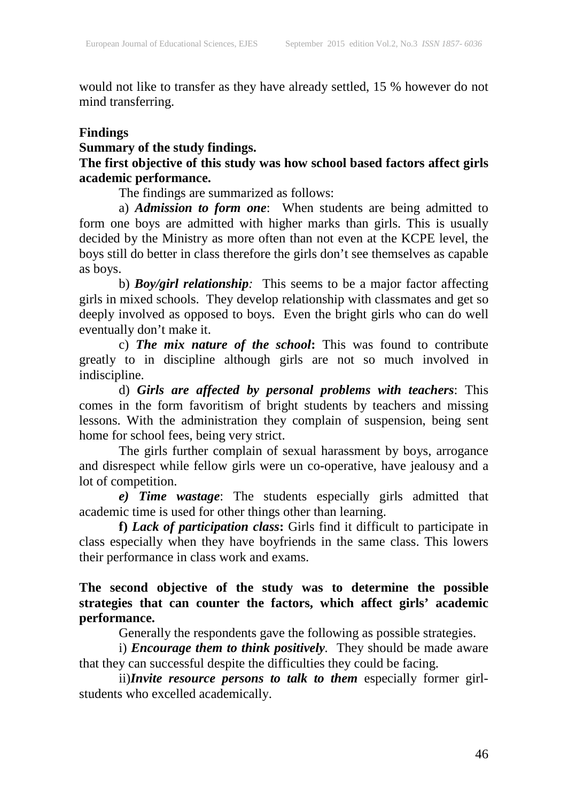would not like to transfer as they have already settled, 15 % however do not mind transferring.

#### **Findings**

# **Summary of the study findings.**

# **The first objective of this study was how school based factors affect girls academic performance.**

The findings are summarized as follows:

a) *Admission to form one*: When students are being admitted to form one boys are admitted with higher marks than girls. This is usually decided by the Ministry as more often than not even at the KCPE level, the boys still do better in class therefore the girls don't see themselves as capable as boys.

b) *Boy/girl relationship:* This seems to be a major factor affecting girls in mixed schools. They develop relationship with classmates and get so deeply involved as opposed to boys. Even the bright girls who can do well eventually don't make it.

c) *The mix nature of the school***:** This was found to contribute greatly to in discipline although girls are not so much involved in indiscipline.

d) *Girls are affected by personal problems with teachers*: This comes in the form favoritism of bright students by teachers and missing lessons. With the administration they complain of suspension, being sent home for school fees, being very strict.

The girls further complain of sexual harassment by boys, arrogance and disrespect while fellow girls were un co-operative, have jealousy and a lot of competition.

*e) Time wastage*: The students especially girls admitted that academic time is used for other things other than learning.

**f)** *Lack of participation class***:** Girls find it difficult to participate in class especially when they have boyfriends in the same class. This lowers their performance in class work and exams.

**The second objective of the study was to determine the possible strategies that can counter the factors, which affect girls' academic performance.**

Generally the respondents gave the following as possible strategies.

i) *Encourage them to think positively.* They should be made aware that they can successful despite the difficulties they could be facing.

ii)*Invite resource persons to talk to them* especially former girlstudents who excelled academically.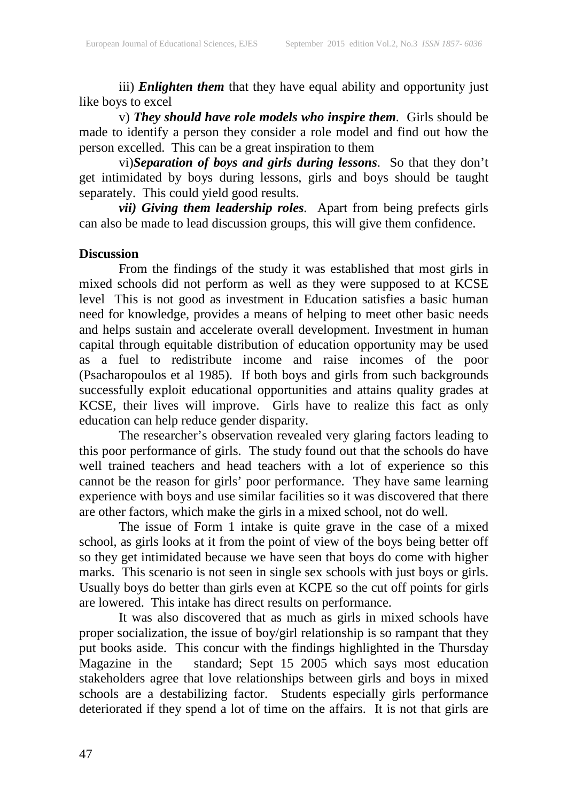iii) *Enlighten them* that they have equal ability and opportunity just like boys to excel

v) *They should have role models who inspire them.* Girls should be made to identify a person they consider a role model and find out how the person excelled. This can be a great inspiration to them

vi)*Separation of boys and girls during lessons*. So that they don't get intimidated by boys during lessons, girls and boys should be taught separately. This could yield good results.

*vii) Giving them leadership roles.* Apart from being prefects girls can also be made to lead discussion groups, this will give them confidence.

#### **Discussion**

From the findings of the study it was established that most girls in mixed schools did not perform as well as they were supposed to at KCSE level This is not good as investment in Education satisfies a basic human need for knowledge, provides a means of helping to meet other basic needs and helps sustain and accelerate overall development. Investment in human capital through equitable distribution of education opportunity may be used as a fuel to redistribute income and raise incomes of the poor (Psacharopoulos et al 1985). If both boys and girls from such backgrounds successfully exploit educational opportunities and attains quality grades at KCSE, their lives will improve. Girls have to realize this fact as only education can help reduce gender disparity.

The researcher's observation revealed very glaring factors leading to this poor performance of girls. The study found out that the schools do have well trained teachers and head teachers with a lot of experience so this cannot be the reason for girls' poor performance. They have same learning experience with boys and use similar facilities so it was discovered that there are other factors, which make the girls in a mixed school, not do well.

The issue of Form 1 intake is quite grave in the case of a mixed school, as girls looks at it from the point of view of the boys being better off so they get intimidated because we have seen that boys do come with higher marks. This scenario is not seen in single sex schools with just boys or girls. Usually boys do better than girls even at KCPE so the cut off points for girls are lowered. This intake has direct results on performance.

It was also discovered that as much as girls in mixed schools have proper socialization, the issue of boy/girl relationship is so rampant that they put books aside. This concur with the findings highlighted in the Thursday Magazine in the standard; Sept 15 2005 which says most education stakeholders agree that love relationships between girls and boys in mixed schools are a destabilizing factor. Students especially girls performance deteriorated if they spend a lot of time on the affairs. It is not that girls are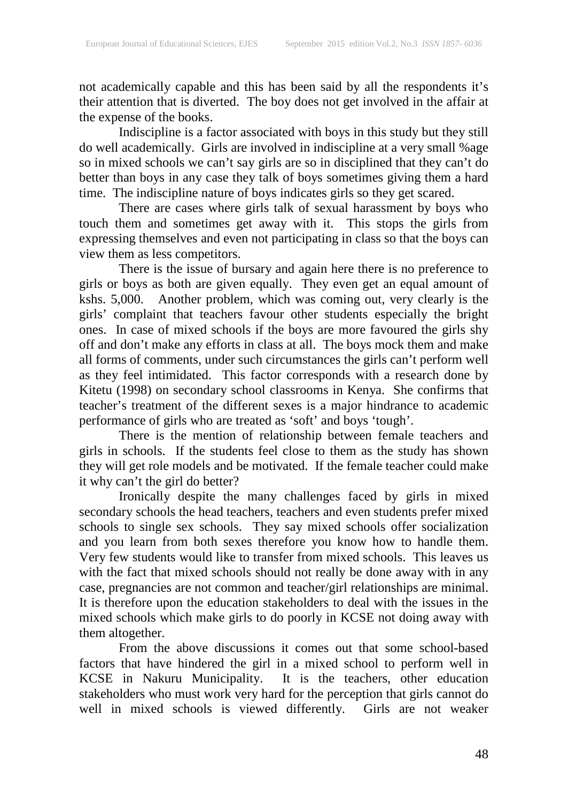not academically capable and this has been said by all the respondents it's their attention that is diverted. The boy does not get involved in the affair at the expense of the books.

Indiscipline is a factor associated with boys in this study but they still do well academically. Girls are involved in indiscipline at a very small %age so in mixed schools we can't say girls are so in disciplined that they can't do better than boys in any case they talk of boys sometimes giving them a hard time. The indiscipline nature of boys indicates girls so they get scared.

There are cases where girls talk of sexual harassment by boys who touch them and sometimes get away with it. This stops the girls from expressing themselves and even not participating in class so that the boys can view them as less competitors.

There is the issue of bursary and again here there is no preference to girls or boys as both are given equally. They even get an equal amount of kshs. 5,000. Another problem, which was coming out, very clearly is the girls' complaint that teachers favour other students especially the bright ones. In case of mixed schools if the boys are more favoured the girls shy off and don't make any efforts in class at all. The boys mock them and make all forms of comments, under such circumstances the girls can't perform well as they feel intimidated. This factor corresponds with a research done by Kitetu (1998) on secondary school classrooms in Kenya. She confirms that teacher's treatment of the different sexes is a major hindrance to academic performance of girls who are treated as 'soft' and boys 'tough'.

There is the mention of relationship between female teachers and girls in schools. If the students feel close to them as the study has shown they will get role models and be motivated. If the female teacher could make it why can't the girl do better?

Ironically despite the many challenges faced by girls in mixed secondary schools the head teachers, teachers and even students prefer mixed schools to single sex schools. They say mixed schools offer socialization and you learn from both sexes therefore you know how to handle them. Very few students would like to transfer from mixed schools. This leaves us with the fact that mixed schools should not really be done away with in any case, pregnancies are not common and teacher/girl relationships are minimal. It is therefore upon the education stakeholders to deal with the issues in the mixed schools which make girls to do poorly in KCSE not doing away with them altogether.

From the above discussions it comes out that some school-based factors that have hindered the girl in a mixed school to perform well in KCSE in Nakuru Municipality. It is the teachers, other education stakeholders who must work very hard for the perception that girls cannot do well in mixed schools is viewed differently. Girls are not weaker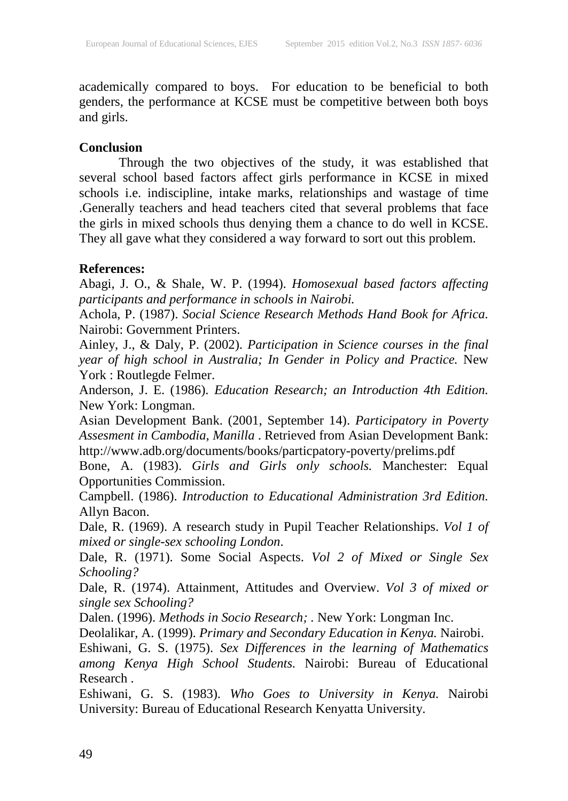academically compared to boys. For education to be beneficial to both genders, the performance at KCSE must be competitive between both boys and girls.

### **Conclusion**

Through the two objectives of the study, it was established that several school based factors affect girls performance in KCSE in mixed schools i.e. indiscipline, intake marks, relationships and wastage of time .Generally teachers and head teachers cited that several problems that face the girls in mixed schools thus denying them a chance to do well in KCSE. They all gave what they considered a way forward to sort out this problem.

# **References:**

Abagi, J. O., & Shale, W. P. (1994). *Homosexual based factors affecting participants and performance in schools in Nairobi.*

Achola, P. (1987). *Social Science Research Methods Hand Book for Africa.* Nairobi: Government Printers.

Ainley, J., & Daly, P. (2002). *Participation in Science courses in the final year of high school in Australia; In Gender in Policy and Practice.* New York : Routlegde Felmer.

Anderson, J. E. (1986). *Education Research; an Introduction 4th Edition.* New York: Longman.

Asian Development Bank. (2001, September 14). *Participatory in Poverty Assesment in Cambodia, Manilla* . Retrieved from Asian Development Bank: http://www.adb.org/documents/books/particpatory-poverty/prelims.pdf

Bone, A. (1983). *Girls and Girls only schools.* Manchester: Equal Opportunities Commission.

Campbell. (1986). *Introduction to Educational Administration 3rd Edition.* Allyn Bacon.

Dale, R. (1969). A research study in Pupil Teacher Relationships. *Vol 1 of mixed or single-sex schooling London*.

Dale, R. (1971). Some Social Aspects. *Vol 2 of Mixed or Single Sex Schooling?*

Dale, R. (1974). Attainment, Attitudes and Overview. *Vol 3 of mixed or single sex Schooling?*

Dalen. (1996). *Methods in Socio Research; .* New York: Longman Inc.

Deolalikar, A. (1999). *Primary and Secondary Education in Kenya.* Nairobi.

Eshiwani, G. S. (1975). *Sex Differences in the learning of Mathematics among Kenya High School Students.* Nairobi: Bureau of Educational Research .

Eshiwani, G. S. (1983). *Who Goes to University in Kenya.* Nairobi University: Bureau of Educational Research Kenyatta University.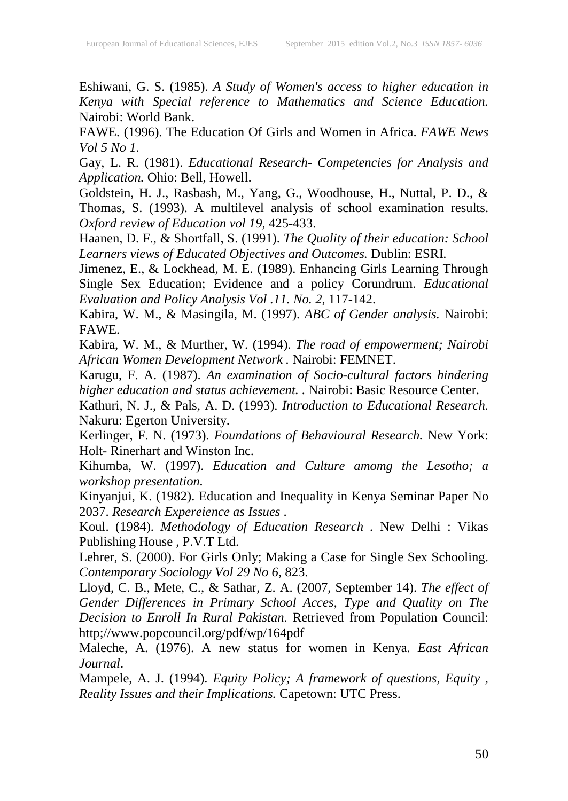Eshiwani, G. S. (1985). *A Study of Women's access to higher education in Kenya with Special reference to Mathematics and Science Education.* Nairobi: World Bank.

FAWE. (1996). The Education Of Girls and Women in Africa. *FAWE News Vol 5 No 1*.

Gay, L. R. (1981). *Educational Research- Competencies for Analysis and Application.* Ohio: Bell, Howell.

Goldstein, H. J., Rasbash, M., Yang, G., Woodhouse, H., Nuttal, P. D., & Thomas, S. (1993). A multilevel analysis of school examination results. *Oxford review of Education vol 19*, 425-433.

Haanen, D. F., & Shortfall, S. (1991). *The Quality of their education: School Learners views of Educated Objectives and Outcomes.* Dublin: ESRI.

Jimenez, E., & Lockhead, M. E. (1989). Enhancing Girls Learning Through Single Sex Education; Evidence and a policy Corundrum. *Educational Evaluation and Policy Analysis Vol .11. No. 2*, 117-142.

Kabira, W. M., & Masingila, M. (1997). *ABC of Gender analysis.* Nairobi: FAWE.

Kabira, W. M., & Murther, W. (1994). *The road of empowerment; Nairobi African Women Development Network .* Nairobi: FEMNET.

Karugu, F. A. (1987). *An examination of Socio-cultural factors hindering higher education and status achievement. .* Nairobi: Basic Resource Center.

Kathuri, N. J., & Pals, A. D. (1993). *Introduction to Educational Research.* Nakuru: Egerton University.

Kerlinger, F. N. (1973). *Foundations of Behavioural Research.* New York: Holt- Rinerhart and Winston Inc.

Kihumba, W. (1997). *Education and Culture amomg the Lesotho; a workshop presentation.*

Kinyanjui, K. (1982). Education and Inequality in Kenya Seminar Paper No 2037. *Research Expereience as Issues* .

Koul. (1984). *Methodology of Education Research .* New Delhi : Vikas Publishing House , P.V.T Ltd.

Lehrer, S. (2000). For Girls Only; Making a Case for Single Sex Schooling. *Contemporary Sociology Vol 29 No 6*, 823.

Lloyd, C. B., Mete, C., & Sathar, Z. A. (2007, September 14). *The effect of Gender Differences in Primary School Acces, Type and Quality on The Decision to Enroll In Rural Pakistan*. Retrieved from Population Council: http;//www.popcouncil.org/pdf/wp/164pdf

Maleche, A. (1976). A new status for women in Kenya. *East African Journal*.

Mampele, A. J. (1994). *Equity Policy; A framework of questions, Equity , Reality Issues and their Implications.* Capetown: UTC Press.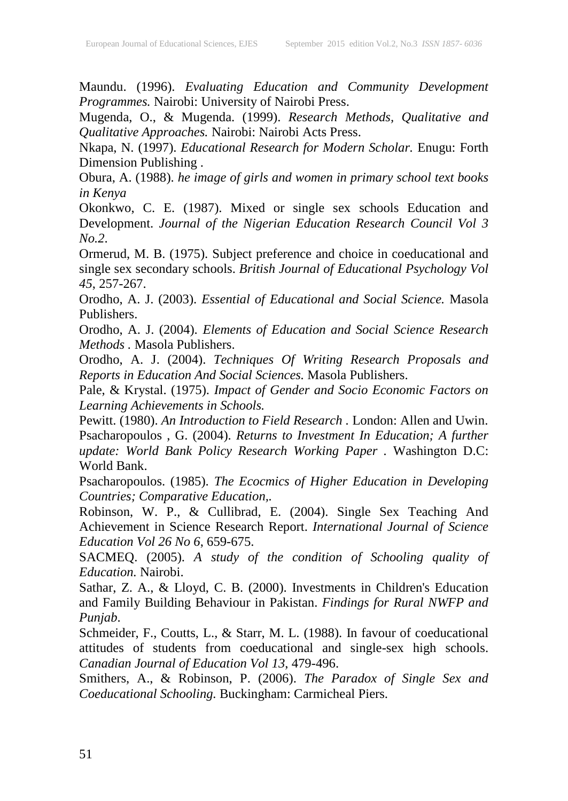Maundu. (1996). *Evaluating Education and Community Development Programmes.* Nairobi: University of Nairobi Press.

Mugenda, O., & Mugenda. (1999). *Research Methods, Qualitative and Qualitative Approaches.* Nairobi: Nairobi Acts Press.

Nkapa, N. (1997). *Educational Research for Modern Scholar.* Enugu: Forth Dimension Publishing .

Obura, A. (1988). *he image of girls and women in primary school text books in Kenya*

Okonkwo, C. E. (1987). Mixed or single sex schools Education and Development. *Journal of the Nigerian Education Research Council Vol 3 No.2*.

Ormerud, M. B. (1975). Subject preference and choice in coeducational and single sex secondary schools. *British Journal of Educational Psychology Vol 45*, 257-267.

Orodho, A. J. (2003). *Essential of Educational and Social Science.* Masola Publishers.

Orodho, A. J. (2004). *Elements of Education and Social Science Research Methods .* Masola Publishers.

Orodho, A. J. (2004). *Techniques Of Writing Research Proposals and Reports in Education And Social Sciences.* Masola Publishers.

Pale, & Krystal. (1975). *Impact of Gender and Socio Economic Factors on Learning Achievements in Schools.*

Pewitt. (1980). *An Introduction to Field Research .* London: Allen and Uwin. Psacharopoulos , G. (2004). *Returns to Investment In Education; A further update: World Bank Policy Research Working Paper .* Washington D.C: World Bank.

Psacharopoulos. (1985). *The Ecocmics of Higher Education in Developing Countries; Comparative Education,.*

Robinson, W. P., & Cullibrad, E. (2004). Single Sex Teaching And Achievement in Science Research Report. *International Journal of Science Education Vol 26 No 6*, 659-675.

SACMEQ. (2005). *A study of the condition of Schooling quality of Education.* Nairobi.

Sathar, Z. A., & Lloyd, C. B. (2000). Investments in Children's Education and Family Building Behaviour in Pakistan. *Findings for Rural NWFP and Punjab*.

Schmeider, F., Coutts, L., & Starr, M. L. (1988). In favour of coeducational attitudes of students from coeducational and single-sex high schools. *Canadian Journal of Education Vol 13*, 479-496.

Smithers, A., & Robinson, P. (2006). *The Paradox of Single Sex and Coeducational Schooling.* Buckingham: Carmicheal Piers.